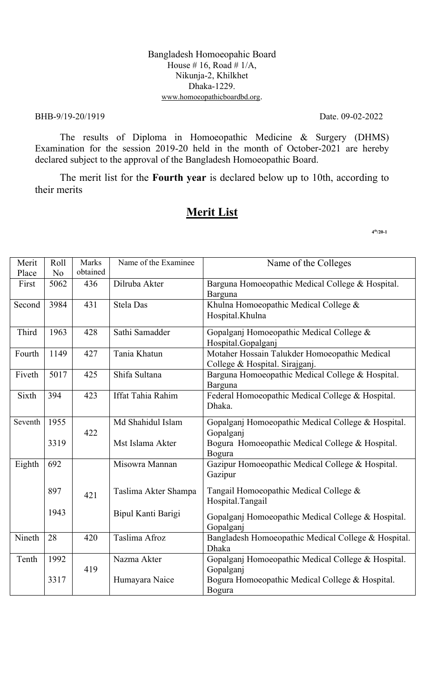#### Bangladesh Homoeopahic Board House # 16, Road #  $1/A$ , Nikunja-2, Khilkhet Dhaka-1229. www.homoeopathicboardbd.org.

#### BHB-9/19-20/1919 Date. 09-02-2022

The results of Diploma in Homoeopathic Medicine & Surgery (DHMS) Examination for the session 2019-20 held in the month of October-2021 are hereby declared subject to the approval of the Bangladesh Homoeopathic Board.

The merit list for the **Fourth year** is declared below up to 10th, according to their merits

# **Merit List**

| Merit   | Roll           | Marks<br>obtained | Name of the Examinee | Name of the Colleges                                                |
|---------|----------------|-------------------|----------------------|---------------------------------------------------------------------|
| Place   | N <sub>o</sub> |                   | Dilruba Akter        |                                                                     |
| First   | 5062           | 436               |                      | Barguna Homoeopathic Medical College & Hospital.<br>Barguna         |
| Second  | 3984           | 431               | <b>Stela Das</b>     | Khulna Homoeopathic Medical College &                               |
|         |                |                   |                      | Hospital.Khulna                                                     |
| Third   | 1963           | 428               | Sathi Samadder       | Gopalganj Homoeopathic Medical College &                            |
|         |                |                   |                      | Hospital.Gopalganj                                                  |
| Fourth  | 1149           | 427               | Tania Khatun         | Motaher Hossain Talukder Homoeopathic Medical                       |
|         |                |                   |                      | College & Hospital. Sirajganj.                                      |
| Fiveth  | 5017           | 425               | Shifa Sultana        | Barguna Homoeopathic Medical College & Hospital.<br>Barguna         |
| Sixth   | 394            | 423               | Iffat Tahia Rahim    | Federal Homoeopathic Medical College & Hospital.                    |
|         |                |                   |                      | Dhaka.                                                              |
| Seventh | 1955           |                   | Md Shahidul Islam    | Gopalganj Homoeopathic Medical College & Hospital.                  |
|         |                | 422               |                      | Gopalganj                                                           |
|         | 3319           |                   | Mst Islama Akter     | Bogura Homoeopathic Medical College & Hospital.                     |
|         |                |                   |                      | Bogura                                                              |
| Eighth  | 692            |                   | Misowra Mannan       | Gazipur Homoeopathic Medical College & Hospital.                    |
|         |                |                   |                      | Gazipur                                                             |
|         | 897            |                   | Taslima Akter Shampa | Tangail Homoeopathic Medical College &                              |
|         |                | 421               |                      | Hospital.Tangail                                                    |
|         | 1943           |                   | Bipul Kanti Barigi   |                                                                     |
|         |                |                   |                      | Gopalganj Homoeopathic Medical College & Hospital.                  |
|         |                |                   | Taslima Afroz        | Gopalganj                                                           |
| Nineth  | 28             | 420               |                      | Bangladesh Homoeopathic Medical College & Hospital.<br><b>Dhaka</b> |
|         | 1992           |                   | Nazma Akter          |                                                                     |
| Tenth   |                | 419               |                      | Gopalganj Homoeopathic Medical College & Hospital.<br>Gopalganj     |
|         | 3317           |                   | Humayara Naice       | Bogura Homoeopathic Medical College & Hospital.                     |
|         |                |                   |                      | Bogura                                                              |
|         |                |                   |                      |                                                                     |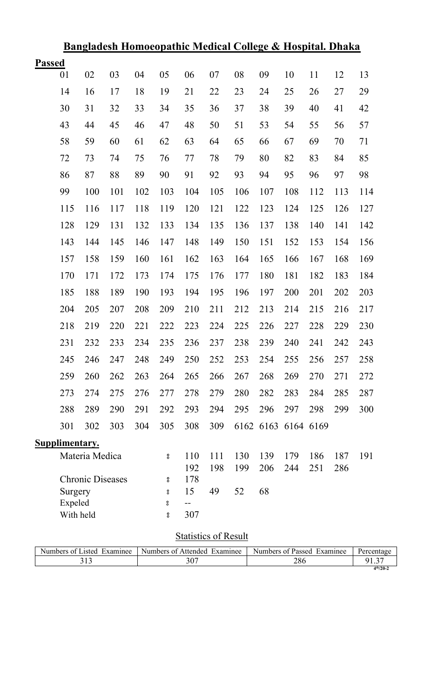|               |                |                         | <u>Bangiadesh Homoeopating medical Conege &amp; Hospital. Dhaka</u> |     |        |            |     |      |     |                |     |     |     |
|---------------|----------------|-------------------------|---------------------------------------------------------------------|-----|--------|------------|-----|------|-----|----------------|-----|-----|-----|
| <b>Passed</b> |                |                         |                                                                     |     |        |            |     |      |     |                |     |     |     |
|               | 01             | 02                      | 03                                                                  | 04  | 05     | 06         | 07  | 08   | 09  | 10             | 11  | 12  | 13  |
|               | 14             | 16                      | 17                                                                  | 18  | 19     | 21         | 22  | 23   | 24  | 25             | 26  | 27  | 29  |
|               | 30             | 31                      | 32                                                                  | 33  | 34     | 35         | 36  | 37   | 38  | 39             | 40  | 41  | 42  |
|               | 43             | 44                      | 45                                                                  | 46  | 47     | 48         | 50  | 51   | 53  | 54             | 55  | 56  | 57  |
|               | 58             | 59                      | 60                                                                  | 61  | 62     | 63         | 64  | 65   | 66  | 67             | 69  | 70  | 71  |
|               | 72             | 73                      | 74                                                                  | 75  | 76     | 77         | 78  | 79   | 80  | 82             | 83  | 84  | 85  |
|               | 86             | 87                      | 88                                                                  | 89  | 90     | 91         | 92  | 93   | 94  | 95             | 96  | 97  | 98  |
|               | 99             | 100                     | 101                                                                 | 102 | 103    | 104        | 105 | 106  | 107 | 108            | 112 | 113 | 114 |
|               | 115            | 116                     | 117                                                                 | 118 | 119    | 120        | 121 | 122  | 123 | 124            | 125 | 126 | 127 |
|               | 128            | 129                     | 131                                                                 | 132 | 133    | 134        | 135 | 136  | 137 | 138            | 140 | 141 | 142 |
|               | 143            | 144                     | 145                                                                 | 146 | 147    | 148        | 149 | 150  | 151 | 152            | 153 | 154 | 156 |
|               | 157            | 158                     | 159                                                                 | 160 | 161    | 162        | 163 | 164  | 165 | 166            | 167 | 168 | 169 |
|               | 170            | 171                     | 172                                                                 | 173 | 174    | 175        | 176 | 177  | 180 | 181            | 182 | 183 | 184 |
|               | 185            | 188                     | 189                                                                 | 190 | 193    | 194        | 195 | 196  | 197 | 200            | 201 | 202 | 203 |
|               | 204            | 205                     | 207                                                                 | 208 | 209    | 210        | 211 | 212  | 213 | 214            | 215 | 216 | 217 |
|               | 218            | 219                     | 220                                                                 | 221 | 222    | 223        | 224 | 225  | 226 | 227            | 228 | 229 | 230 |
|               | 231            | 232                     | 233                                                                 | 234 | 235    | 236        | 237 | 238  | 239 | 240            | 241 | 242 | 243 |
|               | 245            | 246                     | 247                                                                 | 248 | 249    | 250        | 252 | 253  | 254 | 255            | 256 | 257 | 258 |
|               | 259            | 260                     | 262                                                                 | 263 | 264    | 265        | 266 | 267  | 268 | 269            | 270 | 271 | 272 |
|               | 273            | 274                     | 275                                                                 | 276 | 277    | 278        | 279 | 280  | 282 | 283            | 284 | 285 | 287 |
|               | 288            | 289                     | 290                                                                 | 291 | 292    | 293        | 294 | 295  | 296 | 297            | 298 | 299 | 300 |
|               | 301            | 302                     | 303                                                                 | 304 | 305    | 308        | 309 | 6162 |     | 6163 6164 6169 |     |     |     |
|               | Supplimentary. |                         |                                                                     |     |        |            |     |      |     |                |     |     |     |
|               |                | Materia Medica          |                                                                     |     | °      | 110        | 111 | 130  | 139 | 179            | 186 | 187 | 191 |
|               |                | <b>Chronic Diseases</b> |                                                                     |     |        | 192<br>178 | 198 | 199  | 206 | 244            | 251 | 286 |     |
|               | Surgery        |                         |                                                                     |     | 8<br>8 | 15         | 49  | 52   | 68  |                |     |     |     |
|               | Expeled        |                         |                                                                     |     | ိ      | $-$        |     |      |     |                |     |     |     |
|               | With held      |                         |                                                                     |     | 8      | 307        |     |      |     |                |     |     |     |
|               |                |                         |                                                                     |     |        |            |     |      |     |                |     |     |     |

# **Bangladesh Homoeopathic Medical College & Hospital. Dhaka**

# **Statistics of Result**

| Examinee<br>usted.<br>Numbers of | $\overline{\phantom{a}}$<br>Numbers of Attended<br>Examinee | Passed<br>Examinee<br>Numbers of | Percentage    |
|----------------------------------|-------------------------------------------------------------|----------------------------------|---------------|
|                                  | JV.                                                         | 286                              | ື ເມ          |
|                                  |                                                             |                                  | $4^{th}/20-2$ |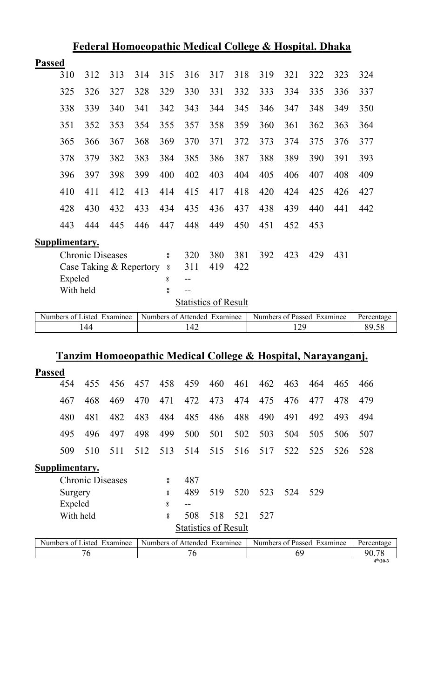| Federal Homoeopathic Medical College & Hospital. Dhaka |                |                            |     |     |                              |                             |     |     |                            |     |     |     |            |
|--------------------------------------------------------|----------------|----------------------------|-----|-----|------------------------------|-----------------------------|-----|-----|----------------------------|-----|-----|-----|------------|
| <b>Passed</b>                                          |                |                            |     |     |                              |                             |     |     |                            |     |     |     |            |
|                                                        | 310            | 312                        | 313 | 314 | 315                          | 316                         | 317 | 318 | 319                        | 321 | 322 | 323 | 324        |
|                                                        | 325            | 326                        | 327 | 328 | 329                          | 330                         | 331 | 332 | 333                        | 334 | 335 | 336 | 337        |
|                                                        | 338            | 339                        | 340 | 341 | 342                          | 343                         | 344 | 345 | 346                        | 347 | 348 | 349 | 350        |
|                                                        | 351            | 352                        | 353 | 354 | 355                          | 357                         | 358 | 359 | 360                        | 361 | 362 | 363 | 364        |
|                                                        | 365            | 366                        | 367 | 368 | 369                          | 370                         | 371 | 372 | 373                        | 374 | 375 | 376 | 377        |
|                                                        | 378            | 379                        | 382 | 383 | 384                          | 385                         | 386 | 387 | 388                        | 389 | 390 | 391 | 393        |
|                                                        | 396            | 397                        | 398 | 399 | 400                          | 402                         | 403 | 404 | 405                        | 406 | 407 | 408 | 409        |
|                                                        | 410            | 411                        | 412 | 413 | 414                          | 415                         | 417 | 418 | 420                        | 424 | 425 | 426 | 427        |
|                                                        | 428            | 430                        | 432 | 433 | 434                          | 435                         | 436 | 437 | 438                        | 439 | 440 | 441 | 442        |
|                                                        | 443            | 444                        | 445 | 446 | 447                          | 448                         | 449 | 450 | 451                        | 452 | 453 |     |            |
|                                                        | Supplimentary. |                            |     |     |                              |                             |     |     |                            |     |     |     |            |
|                                                        |                | <b>Chronic Diseases</b>    |     |     | °                            | 320                         | 380 | 381 | 392                        | 423 | 429 | 431 |            |
|                                                        |                | Case Taking & Repertory    |     |     | $^{\circ}_{\rm o}$           | 311                         | 419 | 422 |                            |     |     |     |            |
|                                                        | Expeled        |                            |     |     | °                            | $-$                         |     |     |                            |     |     |     |            |
|                                                        | With held      |                            |     |     | 8                            | $\qquad \qquad -$           |     |     |                            |     |     |     |            |
|                                                        |                |                            |     |     |                              | <b>Statistics of Result</b> |     |     |                            |     |     |     |            |
|                                                        |                | Numbers of Listed Examinee |     |     | Numbers of Attended Examinee |                             |     |     | Numbers of Passed Examinee |     |     |     | Percentage |

# **Tanzim Homoeopathic Medical College & Hospital, Narayanganj.**

144 142 129 89.58

| <b>Passed</b> |                |                         |     |     |     |                             |     |     |     |     |     |     |     |
|---------------|----------------|-------------------------|-----|-----|-----|-----------------------------|-----|-----|-----|-----|-----|-----|-----|
|               | 454            | 455                     | 456 | 457 | 458 | 459                         | 460 | 461 | 462 | 463 | 464 | 465 | 466 |
|               | 467            | 468                     | 469 | 470 | 471 | 472                         | 473 | 474 | 475 | 476 | 477 | 478 | 479 |
|               | 480            | 481                     | 482 | 483 | 484 | 485                         | 486 | 488 | 490 | 491 | 492 | 493 | 494 |
|               | 495            | 496                     | 497 | 498 | 499 | 500                         | 501 | 502 | 503 | 504 | 505 | 506 | 507 |
|               | 509            | 510                     | 511 | 512 | 513 | 514                         | 515 | 516 | 517 | 522 | 525 | 526 | 528 |
|               | Supplimentary. |                         |     |     |     |                             |     |     |     |     |     |     |     |
|               |                | <b>Chronic Diseases</b> |     |     | 8   | 487                         |     |     |     |     |     |     |     |
|               | Surgery        |                         |     |     | °   | 489                         | 519 | 520 | 523 | 524 | 529 |     |     |
|               | Expeled        |                         |     |     | 8   | $- -$                       |     |     |     |     |     |     |     |
|               | With held      |                         |     |     | 8   | 508                         | 518 | 521 | 527 |     |     |     |     |
|               |                |                         |     |     |     | <b>Statistics of Result</b> |     |     |     |     |     |     |     |

| Examinee<br>Numbers of Listed | Numbers of Attended<br>Examinee | Numbers of Passed<br>Examinee | Percentage      |
|-------------------------------|---------------------------------|-------------------------------|-----------------|
|                               |                                 |                               | 90.78           |
|                               |                                 |                               | $4^{th}/20 -$ 3 |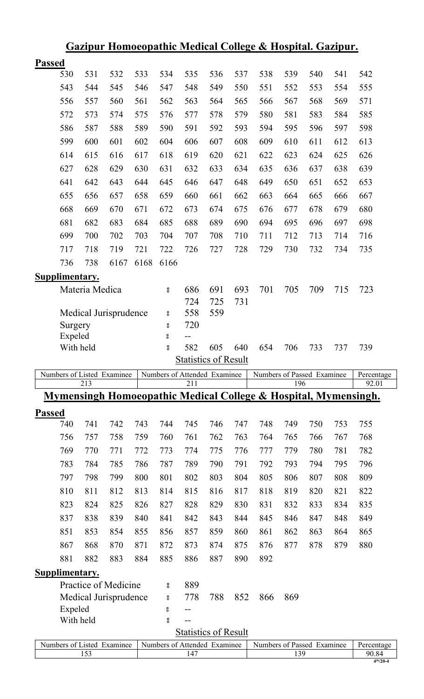|               | Gazipur Homoeopathic Medical College & Hospital. Gazipur. |                |                            |      |                         |           |                              |     |                                                                 |     |     |     |                     |
|---------------|-----------------------------------------------------------|----------------|----------------------------|------|-------------------------|-----------|------------------------------|-----|-----------------------------------------------------------------|-----|-----|-----|---------------------|
| <b>Passed</b> |                                                           |                |                            |      |                         |           |                              |     |                                                                 |     |     |     |                     |
|               | 530                                                       | 531            | 532                        | 533  | 534                     | 535       | 536                          | 537 | 538                                                             | 539 | 540 | 541 | 542                 |
|               | 543                                                       | 544            | 545                        | 546  | 547                     | 548       | 549                          | 550 | 551                                                             | 552 | 553 | 554 | 555                 |
|               | 556                                                       | 557            | 560                        | 561  | 562                     | 563       | 564                          | 565 | 566                                                             | 567 | 568 | 569 | 571                 |
|               | 572                                                       | 573            | 574                        | 575  | 576                     | 577       | 578                          | 579 | 580                                                             | 581 | 583 | 584 | 585                 |
|               | 586                                                       | 587            | 588                        | 589  | 590                     | 591       | 592                          | 593 | 594                                                             | 595 | 596 | 597 | 598                 |
|               | 599                                                       | 600            | 601                        | 602  | 604                     | 606       | 607                          | 608 | 609                                                             | 610 | 611 | 612 | 613                 |
|               | 614                                                       | 615            | 616                        | 617  | 618                     | 619       | 620                          | 621 | 622                                                             | 623 | 624 | 625 | 626                 |
|               | 627                                                       | 628            | 629                        | 630  | 631                     | 632       | 633                          | 634 | 635                                                             | 636 | 637 | 638 | 639                 |
|               | 641                                                       | 642            | 643                        | 644  | 645                     | 646       | 647                          | 648 | 649                                                             | 650 | 651 | 652 | 653                 |
|               | 655                                                       | 656            | 657                        | 658  | 659                     | 660       | 661                          | 662 | 663                                                             | 664 | 665 | 666 | 667                 |
|               | 668                                                       | 669            | 670                        | 671  | 672                     | 673       | 674                          | 675 | 676                                                             | 677 | 678 | 679 | 680                 |
|               | 681                                                       | 682            | 683                        | 684  | 685                     | 688       | 689                          | 690 | 694                                                             | 695 | 696 | 697 | 698                 |
|               | 699                                                       | 700            | 702                        | 703  | 704                     | 707       | 708                          | 710 | 711                                                             | 712 | 713 | 714 | 716                 |
|               | 717                                                       | 718            | 719                        | 721  | 722                     | 726       | 727                          | 728 | 729                                                             | 730 | 732 | 734 | 735                 |
|               | 736                                                       | 738            | 6167                       | 6168 | 6166                    |           |                              |     |                                                                 |     |     |     |                     |
|               |                                                           |                |                            |      |                         |           |                              |     |                                                                 |     |     |     |                     |
|               | Supplimentary.                                            | Materia Medica |                            |      | 8                       | 686       | 691                          | 693 | 701                                                             | 705 | 709 | 715 | 723                 |
|               |                                                           |                |                            |      |                         | 724       | 725                          | 731 |                                                                 |     |     |     |                     |
|               |                                                           |                | Medical Jurisprudence      |      | °                       | 558       | 559                          |     |                                                                 |     |     |     |                     |
|               | Surgery                                                   |                |                            |      | $\rm ^o$                | 720       |                              |     |                                                                 |     |     |     |                     |
|               | Expeled                                                   |                |                            |      | °                       | --        |                              |     |                                                                 |     |     |     |                     |
|               | With held                                                 |                |                            |      | °                       | 582       | 605                          | 640 | 654                                                             | 706 | 733 |     | 739                 |
|               |                                                           |                |                            |      |                         |           |                              |     |                                                                 |     |     | 737 |                     |
|               |                                                           |                |                            |      |                         |           | <b>Statistics of Result</b>  |     |                                                                 |     |     |     |                     |
|               |                                                           |                | Numbers of Listed Examinee |      |                         |           | Numbers of Attended Examinee |     | Numbers of Passed Examinee                                      |     |     |     | Percentage          |
|               |                                                           | 213            |                            |      |                         | 211       |                              |     |                                                                 | 196 |     |     | 92.01               |
|               |                                                           |                |                            |      |                         |           |                              |     | Mymensingh Homoeopathic Medical College & Hospital, Mymensingh. |     |     |     |                     |
| <b>Passed</b> |                                                           |                |                            |      |                         |           |                              |     |                                                                 |     |     |     |                     |
|               | 740                                                       | 741            | 742                        | 743  | 744                     | 745       | 746                          | 747 | 748                                                             | 749 | 750 | 753 | 755                 |
|               | 756                                                       | 757            | 758                        | 759  | 760                     | 761       | 762                          | 763 | 764                                                             | 765 | 766 | 767 | 768                 |
|               | 769                                                       | 770            | 771                        | 772  | 773                     | 774       | 775                          | 776 | 777                                                             | 779 | 780 | 781 | 782                 |
|               | 783                                                       | 784            | 785                        | 786  | 787                     | 789       | 790                          | 791 | 792                                                             | 793 | 794 | 795 | 796                 |
|               | 797                                                       | 798            | 799                        | 800  | 801                     | 802       | 803                          | 804 | 805                                                             | 806 | 807 | 808 | 809                 |
|               | 810                                                       | 811            | 812                        | 813  | 814                     | 815       | 816                          | 817 | 818                                                             | 819 | 820 | 821 | 822                 |
|               | 823                                                       | 824            | 825                        | 826  | 827                     | 828       | 829                          | 830 | 831                                                             | 832 | 833 | 834 | 835                 |
|               | 837                                                       | 838            | 839                        | 840  | 841                     | 842       | 843                          | 844 | 845                                                             | 846 | 847 | 848 | 849                 |
|               | 851                                                       | 853            | 854                        | 855  | 856                     | 857       | 859                          | 860 | 861                                                             | 862 | 863 | 864 | 865                 |
|               | 867                                                       | 868            | 870                        | 871  | 872                     | 873       | 874                          | 875 | 876                                                             | 877 | 878 | 879 | 880                 |
|               | 881                                                       | 882            | 883                        | 884  | 885                     | 886       | 887                          | 890 | 892                                                             |     |     |     |                     |
|               | <b>Supplimentary.</b>                                     |                |                            |      |                         |           |                              |     |                                                                 |     |     |     |                     |
|               |                                                           |                | Practice of Medicine       |      | °                       | 889       |                              |     |                                                                 |     |     |     |                     |
|               |                                                           |                | Medical Jurisprudence      |      | $\rm ^o$                | 778<br>-- | 788                          | 852 | 866                                                             | 869 |     |     |                     |
|               | Expeled<br>With held                                      |                |                            |      | $^{\circ}_{\circ}$<br>8 |           |                              |     |                                                                 |     |     |     |                     |
|               |                                                           |                |                            |      |                         |           | <b>Statistics of Result</b>  |     |                                                                 |     |     |     |                     |
|               |                                                           | 153            | Numbers of Listed Examinee |      |                         | 147       | Numbers of Attended Examinee |     | Numbers of Passed Examinee                                      | 139 |     |     | Percentage<br>90.84 |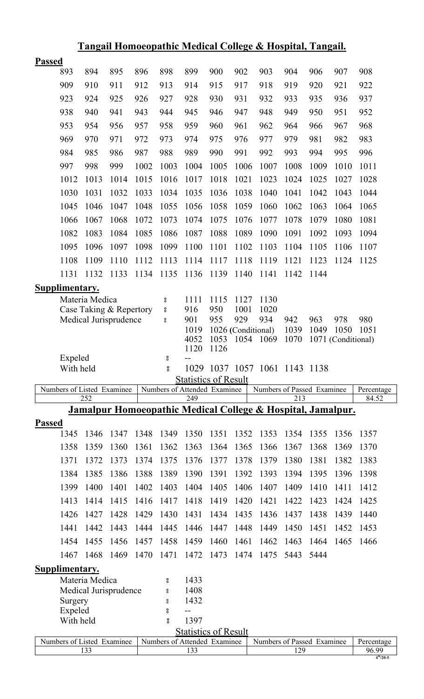|               | Tangail Homoeopathic Medical College & Hospital, Tangail. |                                                  |      |      |                         |                                     |            |                    |                                                                        |      |      |                    |                     |
|---------------|-----------------------------------------------------------|--------------------------------------------------|------|------|-------------------------|-------------------------------------|------------|--------------------|------------------------------------------------------------------------|------|------|--------------------|---------------------|
| <b>Passed</b> |                                                           |                                                  |      |      |                         |                                     |            |                    |                                                                        |      |      |                    |                     |
|               | 893                                                       | 894                                              | 895  | 896  | 898                     | 899                                 | 900        | 902                | 903                                                                    | 904  | 906  | 907                | 908                 |
|               | 909                                                       | 910                                              | 911  | 912  | 913                     | 914                                 | 915        | 917                | 918                                                                    | 919  | 920  | 921                | 922                 |
|               | 923                                                       | 924                                              | 925  | 926  | 927                     | 928                                 | 930        | 931                | 932                                                                    | 933  | 935  | 936                | 937                 |
|               | 938                                                       | 940                                              | 941  | 943  | 944                     | 945                                 | 946        | 947                | 948                                                                    | 949  | 950  | 951                | 952                 |
|               | 953                                                       | 954                                              | 956  | 957  | 958                     | 959                                 | 960        | 961                | 962                                                                    | 964  | 966  | 967                | 968                 |
|               | 969                                                       | 970                                              | 971  | 972  | 973                     | 974                                 | 975        | 976                | 977                                                                    | 979  | 981  | 982                | 983                 |
|               | 984                                                       | 985                                              | 986  | 987  | 988                     | 989                                 | 990        | 991                | 992                                                                    | 993  | 994  | 995                | 996                 |
|               | 997                                                       | 998                                              | 999  | 1002 | 1003                    | 1004                                | 1005       | 1006               | 1007                                                                   | 1008 | 1009 | 1010               | 1011                |
|               | 1012                                                      | 1013                                             | 1014 | 1015 | 1016                    | 1017                                | 1018       | 1021               | 1023                                                                   | 1024 | 1025 | 1027               | 1028                |
|               | 1030                                                      | 1031                                             | 1032 | 1033 | 1034                    | 1035                                | 1036       | 1038               | 1040                                                                   | 1041 | 1042 | 1043               | 1044                |
|               | 1045                                                      | 1046                                             | 1047 | 1048 | 1055                    | 1056                                | 1058       | 1059               | 1060                                                                   | 1062 | 1063 | 1064               | 1065                |
|               | 1066                                                      | 1067                                             | 1068 | 1072 | 1073                    | 1074                                | 1075       | 1076               | 1077                                                                   | 1078 | 1079 | 1080               | 1081                |
|               | 1082                                                      | 1083                                             | 1084 | 1085 | 1086                    | 1087                                | 1088       | 1089               | 1090                                                                   | 1091 | 1092 | 1093               | 1094                |
|               | 1095                                                      | 1096                                             | 1097 | 1098 | 1099                    | 1100                                | 1101       | 1102               | 1103                                                                   | 1104 | 1105 | 1106               | 1107                |
|               | 1108                                                      | 1109                                             | 1110 | 1112 | 1113                    | 1114                                | 1117       | 1118               | 1119                                                                   | 1121 | 1123 | 1124               | 1125                |
|               | 1131                                                      | 1132                                             | 1133 | 1134 | 1135                    | 1136                                | 1139       | 1140               | 1141                                                                   | 1142 | 1144 |                    |                     |
|               | Supplimentary.                                            |                                                  |      |      |                         |                                     |            |                    |                                                                        |      |      |                    |                     |
|               |                                                           | Materia Medica                                   |      |      | $\rm ^o$                | 1111                                | 1115       | 1127               | 1130                                                                   |      |      |                    |                     |
|               |                                                           | Case Taking & Repertory<br>Medical Jurisprudence |      |      | $^{\circ}_{\circ}$      | 916<br>901                          | 950<br>955 | 1001<br>929        | 1020<br>934                                                            | 942  | 963  | 978                | 980                 |
|               |                                                           |                                                  |      |      | $^{\circ}_{\circ}$      | 1019                                |            | 1026 (Conditional) |                                                                        | 1039 | 1049 | 1050               | 1051                |
|               |                                                           |                                                  |      |      |                         | 4052                                | 1053       | 1054               | 1069                                                                   | 1070 |      | 1071 (Conditional) |                     |
|               | Expeled                                                   |                                                  |      |      | °                       | 1120<br>--                          | 1126       |                    |                                                                        |      |      |                    |                     |
|               | With held                                                 |                                                  |      |      | 8                       | 1029                                |            |                    | 1037 1057 1061 1143 1138                                               |      |      |                    |                     |
|               |                                                           |                                                  |      |      |                         | <b>Statistics of Result</b>         |            |                    |                                                                        |      |      |                    |                     |
|               | Numbers of Listed Examinee                                | 252                                              |      |      |                         | Numbers of Attended Examinee<br>249 |            |                    | Numbers of Passed Examinee                                             | 213  |      |                    | Percentage<br>84.52 |
|               |                                                           |                                                  |      |      |                         |                                     |            |                    | <u>Jamalpur Homoeopathic Medical College &amp; Hospital, Jamalpur.</u> |      |      |                    |                     |
| <b>Passed</b> |                                                           |                                                  |      |      |                         |                                     |            |                    |                                                                        |      |      |                    |                     |
|               | 1345                                                      | 1346                                             | 1347 | 1348 | 1349                    | 1350                                | 1351       | 1352               | 1353                                                                   | 1354 | 1355 | 1356               | 1357                |
|               | 1358                                                      | 1359                                             | 1360 | 1361 | 1362                    | 1363                                | 1364       | 1365               | 1366                                                                   | 1367 | 1368 | 1369               | 1370                |
|               | 1371                                                      | 1372                                             | 1373 | 1374 | 1375                    | 1376                                | 1377       | 1378               | 1379                                                                   | 1380 | 1381 | 1382               | 1383                |
|               | 1384                                                      | 1385                                             | 1386 | 1388 | 1389                    | 1390                                | 1391       | 1392               | 1393                                                                   | 1394 | 1395 | 1396               | 1398                |
|               | 1399                                                      | 1400                                             | 1401 | 1402 | 1403                    | 1404                                | 1405       | 1406               | 1407                                                                   | 1409 | 1410 | 1411               | 1412                |
|               | 1413                                                      | 1414                                             | 1415 | 1416 | 1417                    | 1418                                | 1419       | 1420               | 1421                                                                   | 1422 | 1423 | 1424               | 1425                |
|               |                                                           |                                                  |      |      |                         |                                     | 1434       | 1435               | 1436                                                                   | 1437 | 1438 | 1439               | 1440                |
|               | 1426                                                      | 1427                                             | 1428 | 1429 | 1430                    | 1431                                |            |                    |                                                                        |      |      |                    |                     |
|               | 1441                                                      | 1442                                             | 1443 | 1444 | 1445                    | 1446                                | 1447       | 1448               | 1449                                                                   | 1450 | 1451 | 1452               | 1453                |
|               | 1454                                                      | 1455                                             | 1456 | 1457 | 1458                    | 1459                                | 1460       | 1461               | 1462                                                                   | 1463 | 1464 | 1465               | 1466                |
|               | 1467                                                      | 1468                                             | 1469 | 1470 | 1471                    | 1472                                | 1473       | 1474               | 1475                                                                   | 5443 | 5444 |                    |                     |
|               | <b>Supplimentary.</b>                                     |                                                  |      |      |                         |                                     |            |                    |                                                                        |      |      |                    |                     |
|               |                                                           | Materia Medica                                   |      |      | 8                       | 1433                                |            |                    |                                                                        |      |      |                    |                     |
|               |                                                           | Medical Jurisprudence                            |      |      | °                       | 1408                                |            |                    |                                                                        |      |      |                    |                     |
|               | Surgery                                                   |                                                  |      |      | °                       | 1432<br>$-$                         |            |                    |                                                                        |      |      |                    |                     |
|               | Expeled<br>With held                                      |                                                  |      |      | $^{\circ}_{\circ}$<br>8 | 1397                                |            |                    |                                                                        |      |      |                    |                     |
|               |                                                           |                                                  |      |      |                         | <b>Statistics of Result</b>         |            |                    |                                                                        |      |      |                    |                     |
|               | Numbers of Listed Examinee                                | 133                                              |      |      |                         | Numbers of Attended Examinee<br>133 |            |                    | Numbers of Passed Examinee                                             | 129  |      |                    | Percentage<br>96.99 |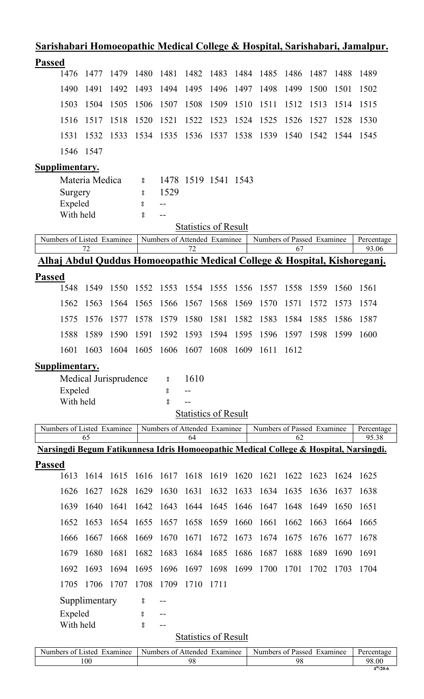| <u>Sarishabari Homoeopathic Medical College &amp; Hospital, Sarishabari, Jamalpur.</u>                                                                           |                       |                                              |        |                              |           |                             |      |                            |      |      |      |            |
|------------------------------------------------------------------------------------------------------------------------------------------------------------------|-----------------------|----------------------------------------------|--------|------------------------------|-----------|-----------------------------|------|----------------------------|------|------|------|------------|
| <b>Passed</b>                                                                                                                                                    |                       |                                              |        |                              |           |                             |      |                            |      |      |      |            |
| 1476                                                                                                                                                             | 1477                  | 1479                                         | 1480   | 1481                         | 1482      | 1483                        | 1484 | 1485                       | 1486 | 1487 | 1488 | 1489       |
| 1490                                                                                                                                                             | 1491                  | 1492                                         | 1493   | 1494                         | 1495      | 1496                        | 1497 | 1498                       | 1499 | 1500 | 1501 | 1502       |
| 1503                                                                                                                                                             | 1504                  | 1505                                         | 1506   | 1507                         | 1508      | 1509                        | 1510 | 1511                       | 1512 | 1513 | 1514 | 1515       |
| 1516                                                                                                                                                             | 1517                  | 1518                                         | 1520   | 1521                         | 1522      | 1523                        | 1524 | 1525                       | 1526 | 1527 | 1528 | 1530       |
| 1531                                                                                                                                                             | 1532                  | 1533                                         | 1534   | 1535                         | 1536      | 1537                        | 1538 | 1539                       | 1540 | 1542 | 1544 | 1545       |
| 1546                                                                                                                                                             | 1547                  |                                              |        |                              |           |                             |      |                            |      |      |      |            |
| Supplimentary.                                                                                                                                                   |                       |                                              |        |                              |           |                             |      |                            |      |      |      |            |
|                                                                                                                                                                  | Materia Medica        |                                              | 8      |                              |           | 1478 1519 1541 1543         |      |                            |      |      |      |            |
| Surgery<br>Expeled                                                                                                                                               |                       |                                              | 8<br>8 | 1529                         |           |                             |      |                            |      |      |      |            |
| With held                                                                                                                                                        |                       |                                              | 8      | $-1$                         |           |                             |      |                            |      |      |      |            |
|                                                                                                                                                                  |                       |                                              |        |                              |           |                             |      |                            |      |      |      |            |
| <b>Statistics of Result</b><br>Numbers of Listed Examinee<br>Numbers of Attended Examinee<br>Numbers of Passed Examinee<br>Percentage<br>93.06<br>72<br>72<br>67 |                       |                                              |        |                              |           |                             |      |                            |      |      |      |            |
| Alhaj Abdul Quddus Homoeopathic Medical College & Hospital, Kishoreganj.                                                                                         |                       |                                              |        |                              |           |                             |      |                            |      |      |      |            |
| <b>Passed</b>                                                                                                                                                    |                       |                                              |        |                              |           |                             |      |                            |      |      |      |            |
| 1548                                                                                                                                                             | 1549                  | 1550                                         | 1552   | 1553                         | 1554 1555 |                             | 1556 | 1557                       | 1558 | 1559 | 1560 | 1561       |
| 1562                                                                                                                                                             | 1563                  | 1564                                         | 1565   | 1566                         | 1567      | 1568                        | 1569 | 1570                       | 1571 | 1572 | 1573 | 1574       |
| 1575                                                                                                                                                             | 1576                  | 1577                                         | 1578   | 1579                         | 1580      | 1581                        | 1582 | 1583                       | 1584 | 1585 | 1586 | 1587       |
| 1588                                                                                                                                                             | 1589                  | 1590                                         | 1591   | 1592                         | 1593      | 1594                        | 1595 | 1596                       | 1597 | 1598 | 1599 | 1600       |
| 1601                                                                                                                                                             |                       | 1603 1604 1605 1606 1607 1608 1609 1611 1612 |        |                              |           |                             |      |                            |      |      |      |            |
| <b>Supplimentary.</b>                                                                                                                                            |                       |                                              |        |                              |           |                             |      |                            |      |      |      |            |
|                                                                                                                                                                  | Medical Jurisprudence |                                              |        | $\bf{S}$                     | 1610      |                             |      |                            |      |      |      |            |
| Expeled<br>With held                                                                                                                                             |                       |                                              |        | 8<br>$_{\rm o}^{\rm o}$      |           |                             |      |                            |      |      |      |            |
|                                                                                                                                                                  |                       |                                              |        |                              |           | <b>Statistics of Result</b> |      |                            |      |      |      |            |
| Numbers of Listed Examinee                                                                                                                                       |                       |                                              |        | Numbers of Attended Examinee |           |                             |      | Numbers of Passed Examinee |      |      |      | Percentage |
| Narsingdi Begum Fatikunnesa Idris Homoeopathic Medical College & Hospital, Narsingdi.                                                                            | 65                    |                                              |        |                              | 64        |                             |      |                            | 62   |      |      | 95.38      |
| <b>Passed</b>                                                                                                                                                    |                       |                                              |        |                              |           |                             |      |                            |      |      |      |            |
| 1613                                                                                                                                                             | 1614                  | 1615                                         | 1616   | 1617                         | 1618      | 1619                        | 1620 | 1621                       | 1622 | 1623 | 1624 | 1625       |
| 1626                                                                                                                                                             | 1627                  | 1628                                         | 1629   | 1630                         | 1631      | 1632                        | 1633 | 1634                       | 1635 | 1636 | 1637 | 1638       |
| 1639                                                                                                                                                             | 1640                  | 1641                                         | 1642   | 1643                         | 1644      | 1645                        | 1646 | 1647                       | 1648 | 1649 | 1650 | 1651       |
| 1652                                                                                                                                                             | 1653                  | 1654                                         | 1655   | 1657                         | 1658      | 1659                        | 1660 | 1661                       | 1662 | 1663 | 1664 | 1665       |
| 1666                                                                                                                                                             | 1667                  | 1668                                         | 1669   | 1670                         | 1671      | 1672                        | 1673 | 1674                       | 1675 | 1676 | 1677 | 1678       |
| 1679                                                                                                                                                             | 1680                  | 1681                                         | 1682   | 1683                         | 1684      | 1685                        | 1686 | 1687                       | 1688 | 1689 | 1690 | 1691       |
| 1692                                                                                                                                                             | 1693                  | 1694                                         | 1695   | 1696                         | 1697      | 1698                        | 1699 | 1700                       | 1701 | 1702 | 1703 | 1704       |
| 1705                                                                                                                                                             | 1706                  | 1707                                         | 1708   | 1709                         | 1710      | 1711                        |      |                            |      |      |      |            |
|                                                                                                                                                                  | Supplimentary         |                                              | °      |                              |           |                             |      |                            |      |      |      |            |
| Expeled                                                                                                                                                          |                       |                                              | °      | $-$                          |           |                             |      |                            |      |      |      |            |
| With held                                                                                                                                                        |                       |                                              | 8      | --                           |           |                             |      |                            |      |      |      |            |
|                                                                                                                                                                  |                       |                                              |        |                              |           | <b>Statistics of Result</b> |      |                            |      |      |      |            |

| Numbers of Listed | Numbers of Attended | Numbers of Passed | Percentage |
|-------------------|---------------------|-------------------|------------|
| Examinee          | Examinee            | Examinee          |            |
| 100               | 98                  | ٥٢                | 98.00      |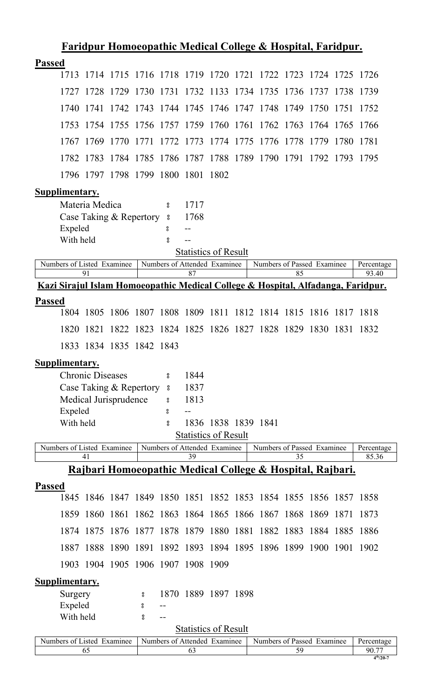| <b>Passed</b><br>1713 1714 1715 1716 1718 1719 1720 1721 1722 1723 1724 1725 1726<br>1727 1728 1729 1730 1731 1732 1133 1734 1735 1736 1737 1738 1739<br>1742 1743 1744 1745 1746 1747 1748 1749 1750 1751<br>1740<br>1741<br>1752<br>1754 1755 1756 1757 1759 1760 1761 1762 1763 1764 1765 1766<br>1753<br>1774 1775<br>1776 1778 1779<br>1767 1769<br>1770<br>1771<br>1772 1773<br>1780<br>-1781<br>1784 1785 1786 1787 1788 1789 1790 1791 1792 1793 1795<br>1782 1783<br>1796 1797 1798 1799 1800 1801 1802<br>Supplimentary.<br>Materia Medica<br>1717<br>8<br>Case Taking & Repertory<br>1768<br>$\rm ^o$<br>Expeled<br>8<br>With held<br>å<br><b>Statistics of Result</b><br>Numbers of Listed Examinee<br>Numbers of Attended Examinee<br>Numbers of Passed Examinee<br>Percentage<br>91<br>87<br>85<br>93.40<br>Kazi Sirajul Islam Homoeopathic Medical College & Hospital, Alfadanga, Faridpur.<br><b>Passed</b><br>1806 1807 1808 1809 1811 1812 1814 1815 1816 1817 1818<br>1804 1805<br>1824 1825 1826 1827 1828 1829 1830 1831 1832<br>1820<br>1821<br>1822<br>1823<br>1833 1834 1835 1842 1843<br>Supplimentary.<br><b>Chronic Diseases</b><br>1844<br>$\boldsymbol{S}$<br>Case Taking & Repertory<br>1837<br>$^{\circ}_{\circ}$<br>Medical Jurisprudence<br>1813<br>°<br>Expeled<br>8<br>With held<br>1836 1838 1839 1841<br>å<br><b>Statistics of Result</b><br>Numbers of Attended Examinee<br>Numbers of Listed Examinee<br>Numbers of Passed Examinee<br>Percentage<br>39<br>35<br>85.36<br>41<br><u> Rajbari Homoeopathic Medical College &amp; Hospital, Rajbari.</u><br><b>Passed</b><br>1845 1846 1847 1849 1850 1851 1852 1853 1854 1855 1856 1857 1858<br>1860 1861 1862 1863 1864 1865 1866 1867 1868 1869 1871<br>1859<br>1873<br>1874 1875 1876 1877 1878 1879 1880 1881 1882 1883 1884 1885 1886<br>1887 1888 1890 1891 1892 1893 1894 1895 1896 1899 1900 1901 1902<br>1903 1904 1905 1906 1907 1908 1909<br><b>Supplimentary.</b><br>1870 1889 1897 1898<br>Surgery<br>8<br>Expeled<br>8<br>$\qquad \qquad -$<br>With held<br>8<br><b>Statistics of Result</b><br>Numbers of Listed Examinee<br>Numbers of Attended Examinee<br>Numbers of Passed Examinee<br>Percentage<br>65<br>63<br>59<br>90.77<br>$4^{th}/20 - 7$ | <u>Faridpur Homoeopathic Medical College &amp; Hospital, Faridpur.</u> |  |  |  |  |  |  |  |  |  |  |  |  |
|---------------------------------------------------------------------------------------------------------------------------------------------------------------------------------------------------------------------------------------------------------------------------------------------------------------------------------------------------------------------------------------------------------------------------------------------------------------------------------------------------------------------------------------------------------------------------------------------------------------------------------------------------------------------------------------------------------------------------------------------------------------------------------------------------------------------------------------------------------------------------------------------------------------------------------------------------------------------------------------------------------------------------------------------------------------------------------------------------------------------------------------------------------------------------------------------------------------------------------------------------------------------------------------------------------------------------------------------------------------------------------------------------------------------------------------------------------------------------------------------------------------------------------------------------------------------------------------------------------------------------------------------------------------------------------------------------------------------------------------------------------------------------------------------------------------------------------------------------------------------------------------------------------------------------------------------------------------------------------------------------------------------------------------------------------------------------------------------------------------------------------------------------------------------------------------------------------------------------------------------------------|------------------------------------------------------------------------|--|--|--|--|--|--|--|--|--|--|--|--|
|                                                                                                                                                                                                                                                                                                                                                                                                                                                                                                                                                                                                                                                                                                                                                                                                                                                                                                                                                                                                                                                                                                                                                                                                                                                                                                                                                                                                                                                                                                                                                                                                                                                                                                                                                                                                                                                                                                                                                                                                                                                                                                                                                                                                                                                         |                                                                        |  |  |  |  |  |  |  |  |  |  |  |  |
|                                                                                                                                                                                                                                                                                                                                                                                                                                                                                                                                                                                                                                                                                                                                                                                                                                                                                                                                                                                                                                                                                                                                                                                                                                                                                                                                                                                                                                                                                                                                                                                                                                                                                                                                                                                                                                                                                                                                                                                                                                                                                                                                                                                                                                                         |                                                                        |  |  |  |  |  |  |  |  |  |  |  |  |
|                                                                                                                                                                                                                                                                                                                                                                                                                                                                                                                                                                                                                                                                                                                                                                                                                                                                                                                                                                                                                                                                                                                                                                                                                                                                                                                                                                                                                                                                                                                                                                                                                                                                                                                                                                                                                                                                                                                                                                                                                                                                                                                                                                                                                                                         |                                                                        |  |  |  |  |  |  |  |  |  |  |  |  |
|                                                                                                                                                                                                                                                                                                                                                                                                                                                                                                                                                                                                                                                                                                                                                                                                                                                                                                                                                                                                                                                                                                                                                                                                                                                                                                                                                                                                                                                                                                                                                                                                                                                                                                                                                                                                                                                                                                                                                                                                                                                                                                                                                                                                                                                         |                                                                        |  |  |  |  |  |  |  |  |  |  |  |  |
|                                                                                                                                                                                                                                                                                                                                                                                                                                                                                                                                                                                                                                                                                                                                                                                                                                                                                                                                                                                                                                                                                                                                                                                                                                                                                                                                                                                                                                                                                                                                                                                                                                                                                                                                                                                                                                                                                                                                                                                                                                                                                                                                                                                                                                                         |                                                                        |  |  |  |  |  |  |  |  |  |  |  |  |
|                                                                                                                                                                                                                                                                                                                                                                                                                                                                                                                                                                                                                                                                                                                                                                                                                                                                                                                                                                                                                                                                                                                                                                                                                                                                                                                                                                                                                                                                                                                                                                                                                                                                                                                                                                                                                                                                                                                                                                                                                                                                                                                                                                                                                                                         |                                                                        |  |  |  |  |  |  |  |  |  |  |  |  |
|                                                                                                                                                                                                                                                                                                                                                                                                                                                                                                                                                                                                                                                                                                                                                                                                                                                                                                                                                                                                                                                                                                                                                                                                                                                                                                                                                                                                                                                                                                                                                                                                                                                                                                                                                                                                                                                                                                                                                                                                                                                                                                                                                                                                                                                         |                                                                        |  |  |  |  |  |  |  |  |  |  |  |  |
|                                                                                                                                                                                                                                                                                                                                                                                                                                                                                                                                                                                                                                                                                                                                                                                                                                                                                                                                                                                                                                                                                                                                                                                                                                                                                                                                                                                                                                                                                                                                                                                                                                                                                                                                                                                                                                                                                                                                                                                                                                                                                                                                                                                                                                                         |                                                                        |  |  |  |  |  |  |  |  |  |  |  |  |
|                                                                                                                                                                                                                                                                                                                                                                                                                                                                                                                                                                                                                                                                                                                                                                                                                                                                                                                                                                                                                                                                                                                                                                                                                                                                                                                                                                                                                                                                                                                                                                                                                                                                                                                                                                                                                                                                                                                                                                                                                                                                                                                                                                                                                                                         |                                                                        |  |  |  |  |  |  |  |  |  |  |  |  |
|                                                                                                                                                                                                                                                                                                                                                                                                                                                                                                                                                                                                                                                                                                                                                                                                                                                                                                                                                                                                                                                                                                                                                                                                                                                                                                                                                                                                                                                                                                                                                                                                                                                                                                                                                                                                                                                                                                                                                                                                                                                                                                                                                                                                                                                         |                                                                        |  |  |  |  |  |  |  |  |  |  |  |  |
|                                                                                                                                                                                                                                                                                                                                                                                                                                                                                                                                                                                                                                                                                                                                                                                                                                                                                                                                                                                                                                                                                                                                                                                                                                                                                                                                                                                                                                                                                                                                                                                                                                                                                                                                                                                                                                                                                                                                                                                                                                                                                                                                                                                                                                                         |                                                                        |  |  |  |  |  |  |  |  |  |  |  |  |
|                                                                                                                                                                                                                                                                                                                                                                                                                                                                                                                                                                                                                                                                                                                                                                                                                                                                                                                                                                                                                                                                                                                                                                                                                                                                                                                                                                                                                                                                                                                                                                                                                                                                                                                                                                                                                                                                                                                                                                                                                                                                                                                                                                                                                                                         |                                                                        |  |  |  |  |  |  |  |  |  |  |  |  |
|                                                                                                                                                                                                                                                                                                                                                                                                                                                                                                                                                                                                                                                                                                                                                                                                                                                                                                                                                                                                                                                                                                                                                                                                                                                                                                                                                                                                                                                                                                                                                                                                                                                                                                                                                                                                                                                                                                                                                                                                                                                                                                                                                                                                                                                         |                                                                        |  |  |  |  |  |  |  |  |  |  |  |  |
|                                                                                                                                                                                                                                                                                                                                                                                                                                                                                                                                                                                                                                                                                                                                                                                                                                                                                                                                                                                                                                                                                                                                                                                                                                                                                                                                                                                                                                                                                                                                                                                                                                                                                                                                                                                                                                                                                                                                                                                                                                                                                                                                                                                                                                                         |                                                                        |  |  |  |  |  |  |  |  |  |  |  |  |
|                                                                                                                                                                                                                                                                                                                                                                                                                                                                                                                                                                                                                                                                                                                                                                                                                                                                                                                                                                                                                                                                                                                                                                                                                                                                                                                                                                                                                                                                                                                                                                                                                                                                                                                                                                                                                                                                                                                                                                                                                                                                                                                                                                                                                                                         |                                                                        |  |  |  |  |  |  |  |  |  |  |  |  |
|                                                                                                                                                                                                                                                                                                                                                                                                                                                                                                                                                                                                                                                                                                                                                                                                                                                                                                                                                                                                                                                                                                                                                                                                                                                                                                                                                                                                                                                                                                                                                                                                                                                                                                                                                                                                                                                                                                                                                                                                                                                                                                                                                                                                                                                         |                                                                        |  |  |  |  |  |  |  |  |  |  |  |  |
|                                                                                                                                                                                                                                                                                                                                                                                                                                                                                                                                                                                                                                                                                                                                                                                                                                                                                                                                                                                                                                                                                                                                                                                                                                                                                                                                                                                                                                                                                                                                                                                                                                                                                                                                                                                                                                                                                                                                                                                                                                                                                                                                                                                                                                                         |                                                                        |  |  |  |  |  |  |  |  |  |  |  |  |
|                                                                                                                                                                                                                                                                                                                                                                                                                                                                                                                                                                                                                                                                                                                                                                                                                                                                                                                                                                                                                                                                                                                                                                                                                                                                                                                                                                                                                                                                                                                                                                                                                                                                                                                                                                                                                                                                                                                                                                                                                                                                                                                                                                                                                                                         |                                                                        |  |  |  |  |  |  |  |  |  |  |  |  |
|                                                                                                                                                                                                                                                                                                                                                                                                                                                                                                                                                                                                                                                                                                                                                                                                                                                                                                                                                                                                                                                                                                                                                                                                                                                                                                                                                                                                                                                                                                                                                                                                                                                                                                                                                                                                                                                                                                                                                                                                                                                                                                                                                                                                                                                         |                                                                        |  |  |  |  |  |  |  |  |  |  |  |  |
|                                                                                                                                                                                                                                                                                                                                                                                                                                                                                                                                                                                                                                                                                                                                                                                                                                                                                                                                                                                                                                                                                                                                                                                                                                                                                                                                                                                                                                                                                                                                                                                                                                                                                                                                                                                                                                                                                                                                                                                                                                                                                                                                                                                                                                                         |                                                                        |  |  |  |  |  |  |  |  |  |  |  |  |
|                                                                                                                                                                                                                                                                                                                                                                                                                                                                                                                                                                                                                                                                                                                                                                                                                                                                                                                                                                                                                                                                                                                                                                                                                                                                                                                                                                                                                                                                                                                                                                                                                                                                                                                                                                                                                                                                                                                                                                                                                                                                                                                                                                                                                                                         |                                                                        |  |  |  |  |  |  |  |  |  |  |  |  |
|                                                                                                                                                                                                                                                                                                                                                                                                                                                                                                                                                                                                                                                                                                                                                                                                                                                                                                                                                                                                                                                                                                                                                                                                                                                                                                                                                                                                                                                                                                                                                                                                                                                                                                                                                                                                                                                                                                                                                                                                                                                                                                                                                                                                                                                         |                                                                        |  |  |  |  |  |  |  |  |  |  |  |  |
|                                                                                                                                                                                                                                                                                                                                                                                                                                                                                                                                                                                                                                                                                                                                                                                                                                                                                                                                                                                                                                                                                                                                                                                                                                                                                                                                                                                                                                                                                                                                                                                                                                                                                                                                                                                                                                                                                                                                                                                                                                                                                                                                                                                                                                                         |                                                                        |  |  |  |  |  |  |  |  |  |  |  |  |
|                                                                                                                                                                                                                                                                                                                                                                                                                                                                                                                                                                                                                                                                                                                                                                                                                                                                                                                                                                                                                                                                                                                                                                                                                                                                                                                                                                                                                                                                                                                                                                                                                                                                                                                                                                                                                                                                                                                                                                                                                                                                                                                                                                                                                                                         |                                                                        |  |  |  |  |  |  |  |  |  |  |  |  |
|                                                                                                                                                                                                                                                                                                                                                                                                                                                                                                                                                                                                                                                                                                                                                                                                                                                                                                                                                                                                                                                                                                                                                                                                                                                                                                                                                                                                                                                                                                                                                                                                                                                                                                                                                                                                                                                                                                                                                                                                                                                                                                                                                                                                                                                         |                                                                        |  |  |  |  |  |  |  |  |  |  |  |  |
|                                                                                                                                                                                                                                                                                                                                                                                                                                                                                                                                                                                                                                                                                                                                                                                                                                                                                                                                                                                                                                                                                                                                                                                                                                                                                                                                                                                                                                                                                                                                                                                                                                                                                                                                                                                                                                                                                                                                                                                                                                                                                                                                                                                                                                                         |                                                                        |  |  |  |  |  |  |  |  |  |  |  |  |
|                                                                                                                                                                                                                                                                                                                                                                                                                                                                                                                                                                                                                                                                                                                                                                                                                                                                                                                                                                                                                                                                                                                                                                                                                                                                                                                                                                                                                                                                                                                                                                                                                                                                                                                                                                                                                                                                                                                                                                                                                                                                                                                                                                                                                                                         |                                                                        |  |  |  |  |  |  |  |  |  |  |  |  |
|                                                                                                                                                                                                                                                                                                                                                                                                                                                                                                                                                                                                                                                                                                                                                                                                                                                                                                                                                                                                                                                                                                                                                                                                                                                                                                                                                                                                                                                                                                                                                                                                                                                                                                                                                                                                                                                                                                                                                                                                                                                                                                                                                                                                                                                         |                                                                        |  |  |  |  |  |  |  |  |  |  |  |  |
|                                                                                                                                                                                                                                                                                                                                                                                                                                                                                                                                                                                                                                                                                                                                                                                                                                                                                                                                                                                                                                                                                                                                                                                                                                                                                                                                                                                                                                                                                                                                                                                                                                                                                                                                                                                                                                                                                                                                                                                                                                                                                                                                                                                                                                                         |                                                                        |  |  |  |  |  |  |  |  |  |  |  |  |
|                                                                                                                                                                                                                                                                                                                                                                                                                                                                                                                                                                                                                                                                                                                                                                                                                                                                                                                                                                                                                                                                                                                                                                                                                                                                                                                                                                                                                                                                                                                                                                                                                                                                                                                                                                                                                                                                                                                                                                                                                                                                                                                                                                                                                                                         |                                                                        |  |  |  |  |  |  |  |  |  |  |  |  |
|                                                                                                                                                                                                                                                                                                                                                                                                                                                                                                                                                                                                                                                                                                                                                                                                                                                                                                                                                                                                                                                                                                                                                                                                                                                                                                                                                                                                                                                                                                                                                                                                                                                                                                                                                                                                                                                                                                                                                                                                                                                                                                                                                                                                                                                         |                                                                        |  |  |  |  |  |  |  |  |  |  |  |  |
|                                                                                                                                                                                                                                                                                                                                                                                                                                                                                                                                                                                                                                                                                                                                                                                                                                                                                                                                                                                                                                                                                                                                                                                                                                                                                                                                                                                                                                                                                                                                                                                                                                                                                                                                                                                                                                                                                                                                                                                                                                                                                                                                                                                                                                                         |                                                                        |  |  |  |  |  |  |  |  |  |  |  |  |
|                                                                                                                                                                                                                                                                                                                                                                                                                                                                                                                                                                                                                                                                                                                                                                                                                                                                                                                                                                                                                                                                                                                                                                                                                                                                                                                                                                                                                                                                                                                                                                                                                                                                                                                                                                                                                                                                                                                                                                                                                                                                                                                                                                                                                                                         |                                                                        |  |  |  |  |  |  |  |  |  |  |  |  |
|                                                                                                                                                                                                                                                                                                                                                                                                                                                                                                                                                                                                                                                                                                                                                                                                                                                                                                                                                                                                                                                                                                                                                                                                                                                                                                                                                                                                                                                                                                                                                                                                                                                                                                                                                                                                                                                                                                                                                                                                                                                                                                                                                                                                                                                         |                                                                        |  |  |  |  |  |  |  |  |  |  |  |  |
|                                                                                                                                                                                                                                                                                                                                                                                                                                                                                                                                                                                                                                                                                                                                                                                                                                                                                                                                                                                                                                                                                                                                                                                                                                                                                                                                                                                                                                                                                                                                                                                                                                                                                                                                                                                                                                                                                                                                                                                                                                                                                                                                                                                                                                                         |                                                                        |  |  |  |  |  |  |  |  |  |  |  |  |
|                                                                                                                                                                                                                                                                                                                                                                                                                                                                                                                                                                                                                                                                                                                                                                                                                                                                                                                                                                                                                                                                                                                                                                                                                                                                                                                                                                                                                                                                                                                                                                                                                                                                                                                                                                                                                                                                                                                                                                                                                                                                                                                                                                                                                                                         |                                                                        |  |  |  |  |  |  |  |  |  |  |  |  |
|                                                                                                                                                                                                                                                                                                                                                                                                                                                                                                                                                                                                                                                                                                                                                                                                                                                                                                                                                                                                                                                                                                                                                                                                                                                                                                                                                                                                                                                                                                                                                                                                                                                                                                                                                                                                                                                                                                                                                                                                                                                                                                                                                                                                                                                         |                                                                        |  |  |  |  |  |  |  |  |  |  |  |  |
|                                                                                                                                                                                                                                                                                                                                                                                                                                                                                                                                                                                                                                                                                                                                                                                                                                                                                                                                                                                                                                                                                                                                                                                                                                                                                                                                                                                                                                                                                                                                                                                                                                                                                                                                                                                                                                                                                                                                                                                                                                                                                                                                                                                                                                                         |                                                                        |  |  |  |  |  |  |  |  |  |  |  |  |
|                                                                                                                                                                                                                                                                                                                                                                                                                                                                                                                                                                                                                                                                                                                                                                                                                                                                                                                                                                                                                                                                                                                                                                                                                                                                                                                                                                                                                                                                                                                                                                                                                                                                                                                                                                                                                                                                                                                                                                                                                                                                                                                                                                                                                                                         |                                                                        |  |  |  |  |  |  |  |  |  |  |  |  |
|                                                                                                                                                                                                                                                                                                                                                                                                                                                                                                                                                                                                                                                                                                                                                                                                                                                                                                                                                                                                                                                                                                                                                                                                                                                                                                                                                                                                                                                                                                                                                                                                                                                                                                                                                                                                                                                                                                                                                                                                                                                                                                                                                                                                                                                         |                                                                        |  |  |  |  |  |  |  |  |  |  |  |  |
|                                                                                                                                                                                                                                                                                                                                                                                                                                                                                                                                                                                                                                                                                                                                                                                                                                                                                                                                                                                                                                                                                                                                                                                                                                                                                                                                                                                                                                                                                                                                                                                                                                                                                                                                                                                                                                                                                                                                                                                                                                                                                                                                                                                                                                                         |                                                                        |  |  |  |  |  |  |  |  |  |  |  |  |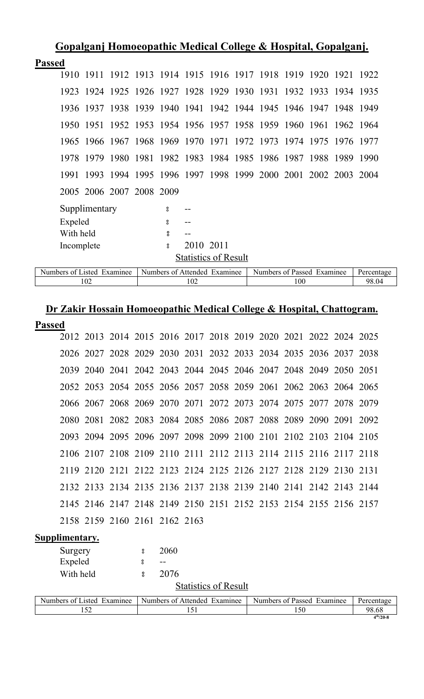|               | Gopalganj Homoeopathic Medical College & Hospital, Gopalganj. |               |                          |                                                                  |           |                             |  |  |           |  |
|---------------|---------------------------------------------------------------|---------------|--------------------------|------------------------------------------------------------------|-----------|-----------------------------|--|--|-----------|--|
| <b>Passed</b> |                                                               |               |                          |                                                                  |           |                             |  |  |           |  |
|               | 1910                                                          |               |                          | 1911 1912 1913 1914 1915 1916 1917 1918 1919 1920                |           |                             |  |  | 1921 1922 |  |
|               |                                                               |               |                          | 1923 1924 1925 1926 1927 1928 1929 1930 1931 1932 1933 1934 1935 |           |                             |  |  |           |  |
|               |                                                               | 1936 1937     |                          | 1938 1939 1940 1941 1942 1944 1945 1946 1947 1948 1949           |           |                             |  |  |           |  |
|               |                                                               |               |                          | 1950 1951 1952 1953 1954 1956 1957 1958 1959 1960 1961 1962 1964 |           |                             |  |  |           |  |
|               |                                                               |               |                          | 1965 1966 1967 1968 1969 1970 1971 1972 1973 1974 1975           |           |                             |  |  | 1976 1977 |  |
|               |                                                               |               |                          | 1978 1979 1980 1981 1982 1983 1984 1985 1986 1987 1988 1989 1990 |           |                             |  |  |           |  |
|               | 1991                                                          |               |                          | 1993 1994 1995 1996 1997 1998 1999 2000 2001 2002 2003 2004      |           |                             |  |  |           |  |
|               |                                                               |               | 2005 2006 2007 2008 2009 |                                                                  |           |                             |  |  |           |  |
|               |                                                               | Supplimentary |                          | 8                                                                |           |                             |  |  |           |  |
|               | Expeled                                                       |               |                          | 8                                                                |           |                             |  |  |           |  |
|               | With held                                                     |               |                          | 8                                                                |           |                             |  |  |           |  |
|               | Incomplete                                                    |               |                          | å                                                                | 2010 2011 |                             |  |  |           |  |
|               |                                                               |               |                          |                                                                  |           | <b>Statistics of Result</b> |  |  |           |  |

| $\sim$ $ \sim$<br>Examinee<br>Jumbers<br>ΩŤ<br>usted. | Numbers<br>Examinee<br>Affended<br>ΩŤ | Numbers<br>Examinee<br>- Passec<br>Λt | <b>Llargan</b> |
|-------------------------------------------------------|---------------------------------------|---------------------------------------|----------------|
| 1 U Z                                                 | 102                                   | 100                                   | 98.04          |

# **Dr Zakir Hossain Homoeopathic Medical College & Hospital, Chattogram.**

| Passed |  |
|--------|--|
|        |  |

|  | 2012 2013 2014 2015 2016 2017 2018 2019 2020 2021 2022 2024 2025 |  |  |  |  |  |  |
|--|------------------------------------------------------------------|--|--|--|--|--|--|
|  | 2026 2027 2028 2029 2030 2031 2032 2033 2034 2035 2036 2037 2038 |  |  |  |  |  |  |
|  | 2039 2040 2041 2042 2043 2044 2045 2046 2047 2048 2049 2050 2051 |  |  |  |  |  |  |
|  | 2052 2053 2054 2055 2056 2057 2058 2059 2061 2062 2063 2064 2065 |  |  |  |  |  |  |
|  | 2066 2067 2068 2069 2070 2071 2072 2073 2074 2075 2077 2078 2079 |  |  |  |  |  |  |
|  | 2080 2081 2082 2083 2084 2085 2086 2087 2088 2089 2090 2091 2092 |  |  |  |  |  |  |
|  | 2093 2094 2095 2096 2097 2098 2099 2100 2101 2102 2103 2104 2105 |  |  |  |  |  |  |
|  | 2106 2107 2108 2109 2110 2111 2112 2113 2114 2115 2116 2117 2118 |  |  |  |  |  |  |
|  | 2119 2120 2121 2122 2123 2124 2125 2126 2127 2128 2129 2130 2131 |  |  |  |  |  |  |
|  | 2132 2133 2134 2135 2136 2137 2138 2139 2140 2141 2142 2143 2144 |  |  |  |  |  |  |
|  | 2145 2146 2147 2148 2149 2150 2151 2152 2153 2154 2155 2156 2157 |  |  |  |  |  |  |
|  | 2158 2159 2160 2161 2162 2163                                    |  |  |  |  |  |  |

**Supplimentary.**

| Surgery                    | 8 | 2060                         |                            |            |
|----------------------------|---|------------------------------|----------------------------|------------|
| Expeled                    |   |                              |                            |            |
| With held                  | 8 | 2076                         |                            |            |
|                            |   | <b>Statistics of Result</b>  |                            |            |
| Numbers of Listed Examinee |   | Numbers of Attended Examinee | Numbers of Passed Examinee | Percentage |
| 152                        |   | 151                          | 150                        | 98.68      |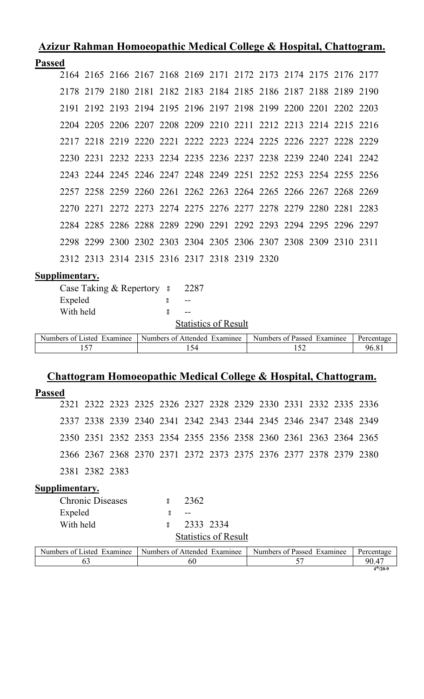# **Azizur Rahman Homoeopathic Medical College & Hospital, Chattogram. Passed**

| eu |  |  |  |  |                                              |  |                                                                                                                                                                                                                                                                                                                                                                                                                                                                                                                                                                                                                                                                                                                                                                          |
|----|--|--|--|--|----------------------------------------------|--|--------------------------------------------------------------------------------------------------------------------------------------------------------------------------------------------------------------------------------------------------------------------------------------------------------------------------------------------------------------------------------------------------------------------------------------------------------------------------------------------------------------------------------------------------------------------------------------------------------------------------------------------------------------------------------------------------------------------------------------------------------------------------|
|    |  |  |  |  |                                              |  |                                                                                                                                                                                                                                                                                                                                                                                                                                                                                                                                                                                                                                                                                                                                                                          |
|    |  |  |  |  |                                              |  |                                                                                                                                                                                                                                                                                                                                                                                                                                                                                                                                                                                                                                                                                                                                                                          |
|    |  |  |  |  |                                              |  |                                                                                                                                                                                                                                                                                                                                                                                                                                                                                                                                                                                                                                                                                                                                                                          |
|    |  |  |  |  |                                              |  |                                                                                                                                                                                                                                                                                                                                                                                                                                                                                                                                                                                                                                                                                                                                                                          |
|    |  |  |  |  |                                              |  |                                                                                                                                                                                                                                                                                                                                                                                                                                                                                                                                                                                                                                                                                                                                                                          |
|    |  |  |  |  |                                              |  |                                                                                                                                                                                                                                                                                                                                                                                                                                                                                                                                                                                                                                                                                                                                                                          |
|    |  |  |  |  |                                              |  |                                                                                                                                                                                                                                                                                                                                                                                                                                                                                                                                                                                                                                                                                                                                                                          |
|    |  |  |  |  |                                              |  |                                                                                                                                                                                                                                                                                                                                                                                                                                                                                                                                                                                                                                                                                                                                                                          |
|    |  |  |  |  |                                              |  |                                                                                                                                                                                                                                                                                                                                                                                                                                                                                                                                                                                                                                                                                                                                                                          |
|    |  |  |  |  |                                              |  |                                                                                                                                                                                                                                                                                                                                                                                                                                                                                                                                                                                                                                                                                                                                                                          |
|    |  |  |  |  |                                              |  |                                                                                                                                                                                                                                                                                                                                                                                                                                                                                                                                                                                                                                                                                                                                                                          |
|    |  |  |  |  |                                              |  |                                                                                                                                                                                                                                                                                                                                                                                                                                                                                                                                                                                                                                                                                                                                                                          |
|    |  |  |  |  | 2312 2313 2314 2315 2316 2317 2318 2319 2320 |  | 2164 2165 2166 2167 2168 2169 2171 2172 2173 2174 2175 2176 2177<br>2178 2179 2180 2181 2182 2183 2184 2185 2186 2187 2188 2189 2190<br>2191 2192 2193 2194 2195 2196 2197 2198 2199 2200 2201 2202 2203<br>2204 2205 2206 2207 2208 2209 2210 2211 2212 2213 2214 2215 2216<br>2217 2218 2219 2220 2221 2222 2223 2224 2225 2226 2227 2228 2229<br>2230 2231 2232 2233 2234 2235 2236 2237 2238 2239 2240 2241 2242<br>2243 2244 2245 2246 2247 2248 2249 2251 2252 2253 2254 2255 2256<br>2257 2258 2259 2260 2261 2262 2263 2264 2265 2266 2267 2268 2269<br>2270 2271 2272 2273 2274 2275 2276 2277 2278 2279 2280 2281 2283<br>2284 2285 2286 2288 2289 2290 2291 2292 2293 2294 2295 2296 2297<br>2298 2299 2300 2302 2303 2304 2305 2306 2307 2308 2309 2310 2311 |

### **Supplimentary.**

| Case Taking & Repertory 8 | 2287                        |
|---------------------------|-----------------------------|
| Expeled                   |                             |
| With held                 |                             |
|                           | <b>Statistics of Result</b> |

| $x$ amınee<br>Numbers<br>usted.<br>$\cdot$ $\alpha^{*}$ | Examinee<br>Attended<br>Numbers of | Examinee<br>Numbers<br>Passed<br>nt. | Percentage |
|---------------------------------------------------------|------------------------------------|--------------------------------------|------------|
| $ -$<br>. J .                                           | ו ש⊥                               |                                      | 36         |

# **Chattogram Homoeopathic Medical College & Hospital, Chattogram.**

| <b>Passed</b>              |                         |  |                                                                  |                             |  |                            |  |  |  |            |
|----------------------------|-------------------------|--|------------------------------------------------------------------|-----------------------------|--|----------------------------|--|--|--|------------|
|                            |                         |  | 2321 2322 2323 2325 2326 2327 2328 2329 2330 2331 2332 2335 2336 |                             |  |                            |  |  |  |            |
|                            |                         |  | 2337 2338 2339 2340 2341 2342 2343 2344 2345 2346 2347 2348 2349 |                             |  |                            |  |  |  |            |
|                            |                         |  | 2350 2351 2352 2353 2354 2355 2356 2358 2360 2361 2363 2364 2365 |                             |  |                            |  |  |  |            |
|                            |                         |  | 2366 2367 2368 2370 2371 2372 2373 2375 2376 2377 2378 2379 2380 |                             |  |                            |  |  |  |            |
| 2381 2382 2383             |                         |  |                                                                  |                             |  |                            |  |  |  |            |
| Supplimentary.             |                         |  |                                                                  |                             |  |                            |  |  |  |            |
|                            | <b>Chronic Diseases</b> |  | $\mathbf{S}$                                                     | 2362                        |  |                            |  |  |  |            |
| Expeled                    |                         |  | å                                                                | $- -$                       |  |                            |  |  |  |            |
| With held                  |                         |  | °                                                                | 2333 2334                   |  |                            |  |  |  |            |
|                            |                         |  |                                                                  | <b>Statistics of Result</b> |  |                            |  |  |  |            |
| Numbers of Listed Examinee |                         |  | Numbers of Attended Examinee                                     |                             |  | Numbers of Passed Examinee |  |  |  | Percentage |
|                            | 63                      |  |                                                                  | 60                          |  | 57                         |  |  |  | 90.47      |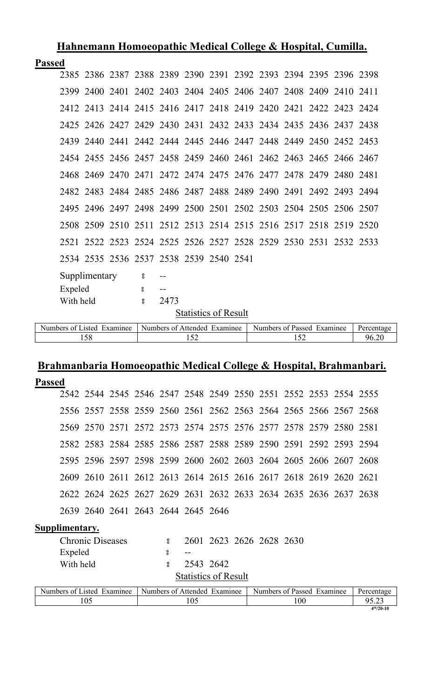|               |                             |               | <u>нипитини потосоритно несисит сопере со повртану с иншин</u> |                          |                                         |     |  |  |                                                                  |     |            |  |       |
|---------------|-----------------------------|---------------|----------------------------------------------------------------|--------------------------|-----------------------------------------|-----|--|--|------------------------------------------------------------------|-----|------------|--|-------|
| <b>Passed</b> |                             |               |                                                                |                          |                                         |     |  |  |                                                                  |     |            |  |       |
|               |                             |               |                                                                |                          |                                         |     |  |  | 2385 2386 2387 2388 2389 2390 2391 2392 2393 2394 2395 2396 2398 |     |            |  |       |
|               |                             |               |                                                                |                          |                                         |     |  |  | 2399 2400 2401 2402 2403 2404 2405 2406 2407 2408 2409 2410 2411 |     |            |  |       |
|               |                             |               |                                                                |                          |                                         |     |  |  | 2412 2413 2414 2415 2416 2417 2418 2419 2420 2421 2422 2423 2424 |     |            |  |       |
|               |                             |               |                                                                |                          |                                         |     |  |  | 2425 2426 2427 2429 2430 2431 2432 2433 2434 2435 2436 2437 2438 |     |            |  |       |
|               |                             |               |                                                                |                          |                                         |     |  |  | 2439 2440 2441 2442 2444 2445 2446 2447 2448 2449 2450 2452 2453 |     |            |  |       |
|               |                             |               |                                                                |                          |                                         |     |  |  | 2454 2455 2456 2457 2458 2459 2460 2461 2462 2463 2465 2466 2467 |     |            |  |       |
|               |                             |               |                                                                |                          |                                         |     |  |  | 2468 2469 2470 2471 2472 2474 2475 2476 2477 2478 2479 2480 2481 |     |            |  |       |
|               |                             |               |                                                                |                          |                                         |     |  |  | 2482 2483 2484 2485 2486 2487 2488 2489 2490 2491 2492 2493 2494 |     |            |  |       |
|               |                             |               |                                                                |                          |                                         |     |  |  | 2495 2496 2497 2498 2499 2500 2501 2502 2503 2504 2505 2506 2507 |     |            |  |       |
|               |                             |               |                                                                |                          |                                         |     |  |  | 2508 2509 2510 2511 2512 2513 2514 2515 2516 2517 2518 2519 2520 |     |            |  |       |
|               |                             |               |                                                                |                          |                                         |     |  |  | 2521 2522 2523 2524 2525 2526 2527 2528 2529 2530 2531 2532 2533 |     |            |  |       |
|               |                             |               |                                                                |                          | 2534 2535 2536 2537 2538 2539 2540 2541 |     |  |  |                                                                  |     |            |  |       |
|               |                             | Supplimentary |                                                                | $\overline{\phantom{0}}$ |                                         |     |  |  |                                                                  |     |            |  |       |
|               | Expeled                     |               |                                                                | $\boldsymbol{S}$         | $\overline{\phantom{m}}$                |     |  |  |                                                                  |     |            |  |       |
|               | With held                   |               |                                                                | $\boldsymbol{S}$         | 2473                                    |     |  |  |                                                                  |     |            |  |       |
|               | <b>Statistics of Result</b> |               |                                                                |                          |                                         |     |  |  |                                                                  |     |            |  |       |
|               | Numbers of Listed Examinee  |               |                                                                |                          | Numbers of Attended Examinee            |     |  |  | Numbers of Passed Examinee                                       |     | Percentage |  |       |
|               |                             | 158           |                                                                |                          |                                         | 152 |  |  |                                                                  | 152 |            |  | 96.20 |

# **Brahmanbaria Homoeopathic Medical College & Hospital, Brahmanbari.**

| <b>Passed</b> |                            |                         |                                    |               |                              |  |                                                                  |     |  |            |
|---------------|----------------------------|-------------------------|------------------------------------|---------------|------------------------------|--|------------------------------------------------------------------|-----|--|------------|
|               |                            |                         |                                    |               |                              |  | 2542 2544 2545 2546 2547 2548 2549 2550 2551 2552 2553 2554 2555 |     |  |            |
|               |                            |                         |                                    |               |                              |  | 2556 2557 2558 2559 2560 2561 2562 2563 2564 2565 2566 2567 2568 |     |  |            |
|               |                            |                         |                                    |               |                              |  | 2569 2570 2571 2572 2573 2574 2575 2576 2577 2578 2579 2580 2581 |     |  |            |
|               |                            |                         |                                    |               |                              |  | 2582 2583 2584 2585 2586 2587 2588 2589 2590 2591 2592 2593 2594 |     |  |            |
|               |                            |                         |                                    |               |                              |  | 2595 2596 2597 2598 2599 2600 2602 2603 2604 2605 2606 2607 2608 |     |  |            |
|               |                            |                         |                                    |               |                              |  | 2609 2610 2611 2612 2613 2614 2615 2616 2617 2618 2619 2620 2621 |     |  |            |
|               |                            |                         |                                    |               |                              |  | 2622 2624 2625 2627 2629 2631 2632 2633 2634 2635 2636 2637 2638 |     |  |            |
|               |                            |                         | 2639 2640 2641 2643 2644 2645 2646 |               |                              |  |                                                                  |     |  |            |
|               | <b>Supplimentary.</b>      |                         |                                    |               |                              |  |                                                                  |     |  |            |
|               |                            | <b>Chronic Diseases</b> |                                    | $\frac{8}{6}$ |                              |  | 2601 2623 2626 2628 2630                                         |     |  |            |
|               | Expeled                    |                         |                                    | å.            |                              |  |                                                                  |     |  |            |
|               | With held                  |                         |                                    | 8             | 2543 2642                    |  |                                                                  |     |  |            |
|               |                            |                         |                                    |               | <b>Statistics of Result</b>  |  |                                                                  |     |  |            |
|               | Numbers of Listed Examinee |                         |                                    |               | Numbers of Attended Examinee |  | Numbers of Passed Examinee                                       |     |  | Percentage |
|               |                            | 105                     |                                    |               | 105                          |  |                                                                  | 100 |  | 95.23      |

**th/20-10**

**Hahnemann Homoeopathic Medical College & Hospital, Cumilla.**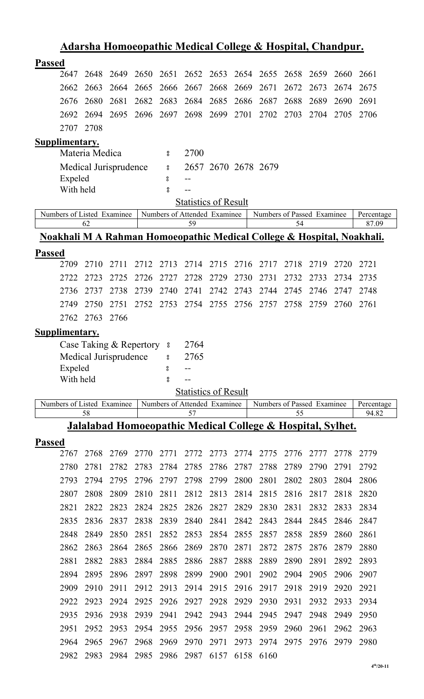|                                                                                   |                                                                       |              |              |                    |                                    |              | <u> Adarsha Homoeopathic Medical College &amp; Hospital, Chandpur.</u> |              |              |                            |              |                     |
|-----------------------------------------------------------------------------------|-----------------------------------------------------------------------|--------------|--------------|--------------------|------------------------------------|--------------|------------------------------------------------------------------------|--------------|--------------|----------------------------|--------------|---------------------|
| <b>Passed</b>                                                                     |                                                                       |              |              |                    |                                    |              |                                                                        |              |              |                            |              |                     |
| 2647                                                                              | 2648                                                                  | 2649         | 2650         | 2651               | 2652                               | 2653         | 2654                                                                   | 2655         | 2658         | 2659                       | 2660         | 2661                |
| 2662                                                                              | 2663                                                                  | 2664         | 2665         | 2666               | 2667                               | 2668         | 2669                                                                   | 2671         | 2672         | 2673                       | 2674         | 2675                |
| 2676                                                                              | 2680                                                                  | 2681         | 2682         | 2683               | 2684                               | 2685         | 2686                                                                   | 2687         | 2688         | 2689                       | 2690         | 2691                |
| 2692                                                                              | 2694                                                                  | 2695         | 2696         | 2697               | 2698                               | 2699         | 2701                                                                   | 2702         | 2703         | 2704                       | 2705         | 2706                |
| 2707                                                                              | 2708                                                                  |              |              |                    |                                    |              |                                                                        |              |              |                            |              |                     |
| Supplimentary.                                                                    |                                                                       |              |              |                    |                                    |              |                                                                        |              |              |                            |              |                     |
|                                                                                   | Materia Medica                                                        |              |              | 8                  | 2700                               |              |                                                                        |              |              |                            |              |                     |
|                                                                                   | Medical Jurisprudence                                                 |              |              | $\bf{S}$           |                                    |              | 2657 2670 2678 2679                                                    |              |              |                            |              |                     |
|                                                                                   | Expeled                                                               |              |              | 8                  |                                    |              |                                                                        |              |              |                            |              |                     |
|                                                                                   | With held                                                             |              |              | °                  |                                    |              |                                                                        |              |              |                            |              |                     |
|                                                                                   |                                                                       |              |              |                    | <b>Statistics of Result</b>        |              |                                                                        |              |              |                            |              |                     |
| Numbers of Listed Examinee                                                        |                                                                       |              |              |                    | Numbers of Attended Examinee       |              |                                                                        |              |              | Numbers of Passed Examinee |              | Percentage          |
|                                                                                   | 62                                                                    |              |              |                    | 59                                 |              |                                                                        |              | 54           |                            |              | 87.09               |
| <u>Noakhali M A Rahman Homoeopathic Medical College &amp; Hospital, Noakhali.</u> |                                                                       |              |              |                    |                                    |              |                                                                        |              |              |                            |              |                     |
| <b>Passed</b>                                                                     |                                                                       |              |              |                    |                                    |              |                                                                        |              |              |                            |              |                     |
| 2709                                                                              | 2710                                                                  | 2711         | 2712         | 2713               | 2714                               | 2715         | 2716                                                                   | 2717         | 2718         | 2719                       | 2720         | 2721                |
| 2722                                                                              | 2723                                                                  | 2725         | 2726         | 2727               | 2728                               | 2729         | 2730                                                                   | 2731         | 2732         | 2733                       | 2734         | 2735                |
| 2736                                                                              | 2737                                                                  | 2738         | 2739         | 2740               | 2741                               | 2742         | 2743                                                                   | 2744         | 2745         | 2746                       | 2747         | 2748                |
| 2749                                                                              | 2750                                                                  | 2751         | 2752         | 2753               |                                    | 2754 2755    | 2756                                                                   | 2757         | 2758         | 2759                       | 2760         | 2761                |
| 2762                                                                              | 2763                                                                  | 2766         |              |                    |                                    |              |                                                                        |              |              |                            |              |                     |
| <b>Supplimentary.</b>                                                             |                                                                       |              |              |                    |                                    |              |                                                                        |              |              |                            |              |                     |
|                                                                                   | Case Taking & Repertory 8                                             |              |              |                    | 2764                               |              |                                                                        |              |              |                            |              |                     |
|                                                                                   |                                                                       |              |              |                    |                                    |              |                                                                        |              |              |                            |              |                     |
|                                                                                   | Medical Jurisprudence                                                 |              |              | °                  | 2765                               |              |                                                                        |              |              |                            |              |                     |
|                                                                                   | Expeled                                                               |              |              | 8                  |                                    |              |                                                                        |              |              |                            |              |                     |
|                                                                                   | With held                                                             |              |              | $_{\rm o}^{\rm o}$ | --                                 |              |                                                                        |              |              |                            |              |                     |
|                                                                                   |                                                                       |              |              |                    | <b>Statistics of Result</b>        |              |                                                                        |              |              |                            |              |                     |
| Numbers of Listed Examinee                                                        | 58                                                                    |              |              |                    | Numbers of Attended Examinee<br>57 |              |                                                                        |              | 55           | Numbers of Passed Examinee |              | Percentage<br>94.82 |
|                                                                                   | <b>Jalalabad Homoeopathic Medical College &amp; Hospital, Sylhet.</b> |              |              |                    |                                    |              |                                                                        |              |              |                            |              |                     |
| <b>Passed</b>                                                                     |                                                                       |              |              |                    |                                    |              |                                                                        |              |              |                            |              |                     |
| 2767                                                                              | 2768                                                                  | 2769         | 2770         | 2771               | 2772                               | 2773         | 2774                                                                   | 2775         | 2776         | 2777                       | 2778         | 2779                |
| 2780                                                                              | 2781                                                                  | 2782         | 2783         | 2784               | 2785                               | 2786         | 2787                                                                   | 2788         | 2789         | 2790                       | 2791         | 2792                |
| 2793                                                                              | 2794                                                                  | 2795         | 2796         | 2797               | 2798                               | 2799         | 2800                                                                   | 2801         | 2802         | 2803                       | 2804         | 2806                |
| 2807                                                                              | 2808                                                                  | 2809         | 2810         | 2811               | 2812                               | 2813         | 2814                                                                   | 2815         | 2816         | 2817                       | 2818         | 2820                |
| 2821                                                                              | 2822                                                                  | 2823         | 2824         | 2825               | 2826                               | 2827         | 2829                                                                   | 2830         | 2831         | 2832                       | 2833         | 2834                |
| 2835                                                                              | 2836                                                                  | 2837         | 2838         | 2839               | 2840                               | 2841         | 2842                                                                   | 2843         | 2844         | 2845                       | 2846         | 2847                |
| 2848                                                                              | 2849                                                                  | 2850         | 2851         | 2852               | 2853                               | 2854         | 2855                                                                   | 2857         | 2858         | 2859                       | 2860         | 2861                |
| 2862                                                                              | 2863                                                                  | 2864         | 2865         | 2866               | 2869                               | 2870         | 2871                                                                   | 2872         | 2875         | 2876                       | 2879         | 2880                |
| 2881                                                                              | 2882                                                                  | 2883         | 2884         | 2885               | 2886                               | 2887         | 2888                                                                   | 2889         | 2890         | 2891                       | 2892         | 2893                |
| 2894                                                                              | 2895                                                                  | 2896         | 2897         | 2898               | 2899                               | 2900         | 2901                                                                   | 2902         | 2904         | 2905                       | 2906         | 2907                |
| 2909                                                                              | 2910                                                                  | 2911         | 2912         | 2913               | 2914                               | 2915         | 2916                                                                   | 2917         | 2918         | 2919                       | 2920         | 2921                |
| 2922                                                                              | 2923                                                                  | 2924         | 2925         | 2926               | 2927                               | 2928         | 2929                                                                   | 2930         | 2931         | 2932                       | 2933         | 2934                |
|                                                                                   |                                                                       |              |              |                    |                                    |              |                                                                        |              |              | 2948                       |              |                     |
| 2935                                                                              | 2936<br>2952                                                          | 2938         | 2939         | 2941               | 2942                               | 2943         | 2944                                                                   | 2945         | 2947         |                            | 2949         | 2950                |
| 2951<br>2964                                                                      | 2965                                                                  | 2953<br>2967 | 2954<br>2968 | 2955<br>2969       | 2956<br>2970                       | 2957<br>2971 | 2958<br>2973                                                           | 2959<br>2974 | 2960<br>2975 | 2961<br>2976               | 2962<br>2979 | 2963<br>2980        |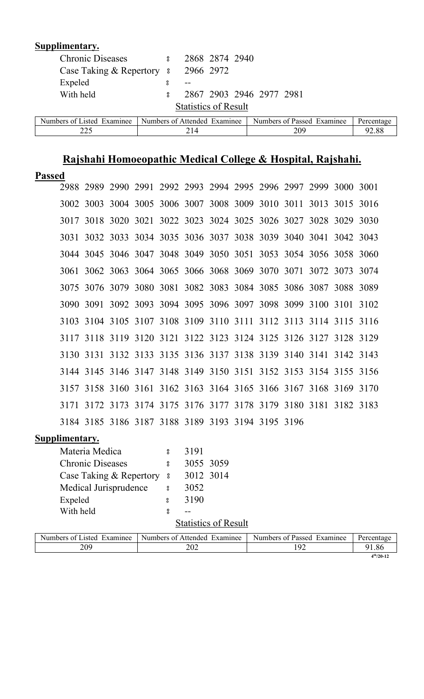| Supplimentary.                      |                  |                              |                |                            |            |
|-------------------------------------|------------------|------------------------------|----------------|----------------------------|------------|
| <b>Chronic Diseases</b>             | $\boldsymbol{S}$ |                              | 2868 2874 2940 |                            |            |
| Case Taking & Repertory 8 2966 2972 |                  |                              |                |                            |            |
| Expeled                             | 8                |                              |                |                            |            |
| With held                           | 8                |                              |                | 2867 2903 2946 2977 2981   |            |
|                                     |                  | <b>Statistics of Result</b>  |                |                            |            |
| Numbers of Listed Examinee          |                  | Numbers of Attended Examinee |                | Numbers of Passed Examinee | Percentage |
| 225                                 |                  | 214                          |                | 209                        | 92.88      |

# **Rajshahi Homoeopathic Medical College & Hospital, Rajshahi.**

| <b>Passed</b> |                |                                                   |  |  |  |                                                                  |  |
|---------------|----------------|---------------------------------------------------|--|--|--|------------------------------------------------------------------|--|
|               |                |                                                   |  |  |  | 2988 2989 2990 2991 2992 2993 2994 2995 2996 2997 2999 3000 3001 |  |
|               |                |                                                   |  |  |  | 3002 3003 3004 3005 3006 3007 3008 3009 3010 3011 3013 3015 3016 |  |
|               |                |                                                   |  |  |  | 3017 3018 3020 3021 3022 3023 3024 3025 3026 3027 3028 3029 3030 |  |
|               |                |                                                   |  |  |  | 3031 3032 3033 3034 3035 3036 3037 3038 3039 3040 3041 3042 3043 |  |
|               |                |                                                   |  |  |  | 3044 3045 3046 3047 3048 3049 3050 3051 3053 3054 3056 3058 3060 |  |
|               |                |                                                   |  |  |  | 3061 3062 3063 3064 3065 3066 3068 3069 3070 3071 3072 3073 3074 |  |
|               |                |                                                   |  |  |  | 3075 3076 3079 3080 3081 3082 3083 3084 3085 3086 3087 3088 3089 |  |
|               |                |                                                   |  |  |  | 3090 3091 3092 3093 3094 3095 3096 3097 3098 3099 3100 3101 3102 |  |
|               |                |                                                   |  |  |  | 3103 3104 3105 3107 3108 3109 3110 3111 3112 3113 3114 3115 3116 |  |
|               |                |                                                   |  |  |  | 3117 3118 3119 3120 3121 3122 3123 3124 3125 3126 3127 3128 3129 |  |
|               |                |                                                   |  |  |  | 3130 3131 3132 3133 3135 3136 3137 3138 3139 3140 3141 3142 3143 |  |
|               |                |                                                   |  |  |  | 3144 3145 3146 3147 3148 3149 3150 3151 3152 3153 3154 3155 3156 |  |
|               |                |                                                   |  |  |  | 3157 3158 3160 3161 3162 3163 3164 3165 3166 3167 3168 3169 3170 |  |
|               | 3171 3172 3173 |                                                   |  |  |  | 3174 3175 3176 3177 3178 3179 3180 3181 3182 3183                |  |
|               |                | 3184 3185 3186 3187 3188 3189 3193 3194 3195 3196 |  |  |  |                                                                  |  |
|               |                |                                                   |  |  |  |                                                                  |  |

| Materia Medica          | ႙   | 3191                        |
|-------------------------|-----|-----------------------------|
| <b>Chronic Diseases</b> | 8   | 3055 3059                   |
| Case Taking & Repertory | - 8 | 3012 3014                   |
| Medical Jurisprudence   | 8   | 3052                        |
| Expeled                 | 8   | 3190                        |
| With held               | ႙   |                             |
|                         |     | <b>Statistics of Result</b> |

| Numbers of Listed<br>Examinee | Numbers of Attended<br>Examinee | Numbers of Passed<br>Examinee | Percentage     |
|-------------------------------|---------------------------------|-------------------------------|----------------|
| 209                           | ∩∩<br>$\angle$ U $\angle$       |                               | 1.86           |
|                               |                                 |                               | $4^{th}/20-12$ |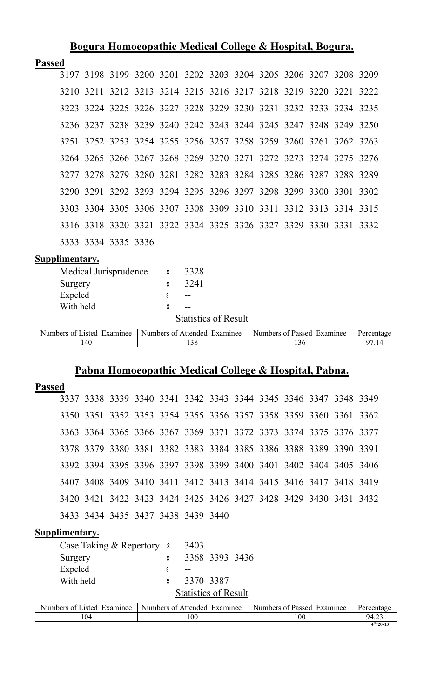# **Bogura Homoeopathic Medical College & Hospital, Bogura.**

# **Passed**

|  |                     | 3197 3198 3199 3200 3201 3202 3203 3204 3205 3206 3207 3208 3209 |  |  |  |  |  |
|--|---------------------|------------------------------------------------------------------|--|--|--|--|--|
|  |                     | 3210 3211 3212 3213 3214 3215 3216 3217 3218 3219 3220 3221 3222 |  |  |  |  |  |
|  |                     | 3223 3224 3225 3226 3227 3228 3229 3230 3231 3232 3233 3234 3235 |  |  |  |  |  |
|  |                     | 3236 3237 3238 3239 3240 3242 3243 3244 3245 3247 3248 3249 3250 |  |  |  |  |  |
|  |                     | 3251 3252 3253 3254 3255 3256 3257 3258 3259 3260 3261 3262 3263 |  |  |  |  |  |
|  |                     | 3264 3265 3266 3267 3268 3269 3270 3271 3272 3273 3274 3275 3276 |  |  |  |  |  |
|  |                     | 3277 3278 3279 3280 3281 3282 3283 3284 3285 3286 3287 3288 3289 |  |  |  |  |  |
|  |                     | 3290 3291 3292 3293 3294 3295 3296 3297 3298 3299 3300 3301 3302 |  |  |  |  |  |
|  |                     | 3303 3304 3305 3306 3307 3308 3309 3310 3311 3312 3313 3314 3315 |  |  |  |  |  |
|  |                     | 3316 3318 3320 3321 3322 3324 3325 3326 3327 3329 3330 3331 3332 |  |  |  |  |  |
|  | 3333 3334 3335 3336 |                                                                  |  |  |  |  |  |

### **Supplimentary.**

| Medical Jurisprudence      | 8 | 3328                         |                            |            |
|----------------------------|---|------------------------------|----------------------------|------------|
| Surgery                    | ႙ | 3241                         |                            |            |
| Expeled                    |   |                              |                            |            |
| With held                  |   |                              |                            |            |
|                            |   | <b>Statistics of Result</b>  |                            |            |
| Numbers of Listed Examinee |   | Numbers of Attended Examinee | Numbers of Passed Examinee | Percentage |
| 140                        |   | 138                          | 136                        |            |

# **Pabna Homoeopathic Medical College & Hospital, Pabna.**

| <b>Passed</b>              |                                                                  |  |   |                              |                |                            |     |  |            |
|----------------------------|------------------------------------------------------------------|--|---|------------------------------|----------------|----------------------------|-----|--|------------|
|                            | 3337 3338 3339 3340 3341 3342 3343 3344 3345 3346 3347 3348 3349 |  |   |                              |                |                            |     |  |            |
|                            | 3350 3351 3352 3353 3354 3355 3356 3357 3358 3359 3360 3361 3362 |  |   |                              |                |                            |     |  |            |
|                            | 3363 3364 3365 3366 3367 3369 3371 3372 3373 3374 3375 3376 3377 |  |   |                              |                |                            |     |  |            |
|                            | 3378 3379 3380 3381 3382 3383 3384 3385 3386 3388 3389 3390 3391 |  |   |                              |                |                            |     |  |            |
|                            | 3392 3394 3395 3396 3397 3398 3399 3400 3401 3402 3404 3405 3406 |  |   |                              |                |                            |     |  |            |
|                            | 3407 3408 3409 3410 3411 3412 3413 3414 3415 3416 3417 3418 3419 |  |   |                              |                |                            |     |  |            |
|                            | 3420 3421 3422 3423 3424 3425 3426 3427 3428 3429 3430 3431 3432 |  |   |                              |                |                            |     |  |            |
|                            | 3433 3434 3435 3437 3438 3439 3440                               |  |   |                              |                |                            |     |  |            |
| Supplimentary.             |                                                                  |  |   |                              |                |                            |     |  |            |
|                            | Case Taking & Repertory 8                                        |  |   | 3403                         |                |                            |     |  |            |
| Surgery                    |                                                                  |  | ° |                              | 3368 3393 3436 |                            |     |  |            |
| Expeled                    |                                                                  |  | 8 |                              |                |                            |     |  |            |
|                            | With held                                                        |  | å |                              | 3370 3387      |                            |     |  |            |
|                            |                                                                  |  |   | <b>Statistics of Result</b>  |                |                            |     |  |            |
| Numbers of Listed Examinee |                                                                  |  |   | Numbers of Attended Examinee |                | Numbers of Passed Examinee |     |  | Percentage |
|                            | 104                                                              |  |   | 100                          |                |                            | 100 |  | 94.23      |

 **4**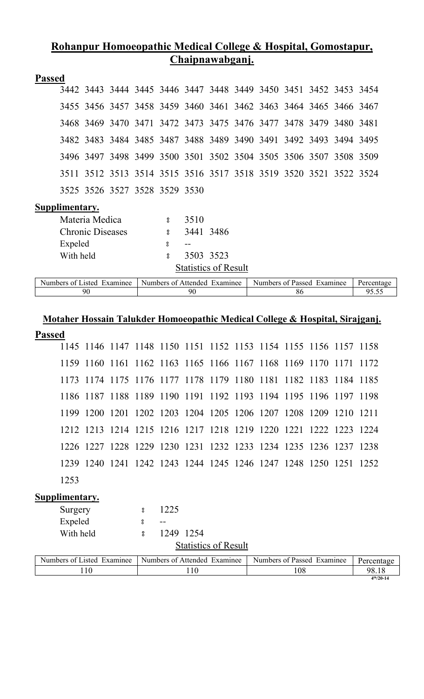### **Rohanpur Homoeopathic Medical College & Hospital, Gomostapur, Chaipnawabganj.**

| <b>Passed</b> |  |  |                                                                  |  |  |  |  |
|---------------|--|--|------------------------------------------------------------------|--|--|--|--|
|               |  |  | 3442 3443 3444 3445 3446 3447 3448 3449 3450 3451 3452 3453 3454 |  |  |  |  |
|               |  |  | 3455 3456 3457 3458 3459 3460 3461 3462 3463 3464 3465 3466 3467 |  |  |  |  |
|               |  |  | 3468 3469 3470 3471 3472 3473 3475 3476 3477 3478 3479 3480 3481 |  |  |  |  |
|               |  |  | 3482 3483 3484 3485 3487 3488 3489 3490 3491 3492 3493 3494 3495 |  |  |  |  |
|               |  |  | 3496 3497 3498 3499 3500 3501 3502 3504 3505 3506 3507 3508 3509 |  |  |  |  |
|               |  |  | 3511 3512 3513 3514 3515 3516 3517 3518 3519 3520 3521 3522 3524 |  |  |  |  |
|               |  |  | 3525 3526 3527 3528 3529 3530                                    |  |  |  |  |

#### **Supplimentary.**

| Materia Medica          | 8.           | 3510      |                             |
|-------------------------|--------------|-----------|-----------------------------|
| <b>Chronic Diseases</b> | ႙            | 3441 3486 |                             |
| Expeled                 | ႙            |           |                             |
| With held               | $\mathbf{S}$ | 3503 3523 |                             |
|                         |              |           | <b>Statistics of Result</b> |

| Numbers of I<br>Examinee<br>asted. | Numbers of Attended<br>Examinee | <sup>c</sup> Passed<br>Examinee<br>Numbers of | Percentage |
|------------------------------------|---------------------------------|-----------------------------------------------|------------|
| 90                                 | 90                              | oι                                            | ' - • - -  |

# **Motaher Hossain Talukder Homoeopathic Medical College & Hospital, Sirajganj.**

## **Passed**

|      | 1145 1146 1147 1148 1150 1151 1152 1153 1154 1155 1156 1157 1158 |  |  |  |  |  |  |
|------|------------------------------------------------------------------|--|--|--|--|--|--|
|      | 1159 1160 1161 1162 1163 1165 1166 1167 1168 1169 1170 1171 1172 |  |  |  |  |  |  |
|      | 1173 1174 1175 1176 1177 1178 1179 1180 1181 1182 1183 1184 1185 |  |  |  |  |  |  |
|      | 1186 1187 1188 1189 1190 1191 1192 1193 1194 1195 1196 1197 1198 |  |  |  |  |  |  |
|      | 1199 1200 1201 1202 1203 1204 1205 1206 1207 1208 1209 1210 1211 |  |  |  |  |  |  |
|      | 1212 1213 1214 1215 1216 1217 1218 1219 1220 1221 1222 1223 1224 |  |  |  |  |  |  |
|      | 1226 1227 1228 1229 1230 1231 1232 1233 1234 1235 1236 1237 1238 |  |  |  |  |  |  |
|      | 1239 1240 1241 1242 1243 1244 1245 1246 1247 1248 1250 1251 1252 |  |  |  |  |  |  |
| 1253 |                                                                  |  |  |  |  |  |  |

| Surgery   | 1225                        |
|-----------|-----------------------------|
| Expeled   | $- -$                       |
| With held | 1249 1254                   |
|           | <b>Statistics of Result</b> |

| Numbers of 1<br>Examinee<br>.1sted | Numbers of Attended<br>Examinee | Numbers of Passed<br>Examinee | Percentage       |
|------------------------------------|---------------------------------|-------------------------------|------------------|
|                                    | 10                              | 108                           | 98.18            |
|                                    |                                 |                               | $4^{th}/20 - 14$ |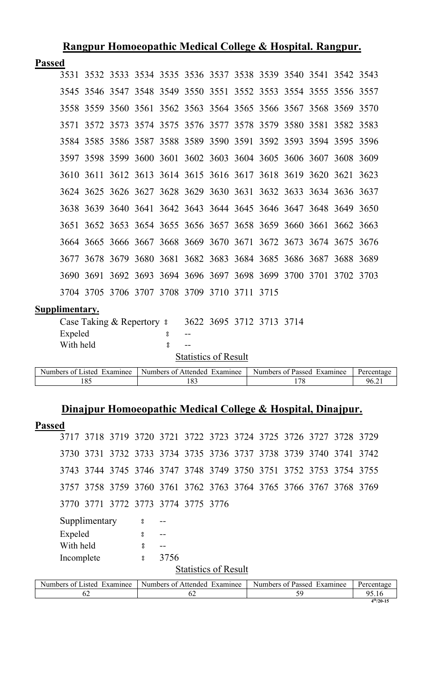|               |                |                            |  |                              |                             |  | <u> Rangpur Homoeopathic Medical College &amp; Hospital. Rangpur.</u> |     |  |            |
|---------------|----------------|----------------------------|--|------------------------------|-----------------------------|--|-----------------------------------------------------------------------|-----|--|------------|
| <b>Passed</b> |                |                            |  |                              |                             |  |                                                                       |     |  |            |
|               |                |                            |  |                              |                             |  | 3531 3532 3533 3534 3535 3536 3537 3538 3539 3540 3541 3542 3543      |     |  |            |
|               |                |                            |  |                              |                             |  | 3545 3546 3547 3548 3549 3550 3551 3552 3553 3554 3555 3556 3557      |     |  |            |
|               |                |                            |  |                              |                             |  | 3558 3559 3560 3561 3562 3563 3564 3565 3566 3567 3568 3569 3570      |     |  |            |
|               |                |                            |  |                              |                             |  | 3571 3572 3573 3574 3575 3576 3577 3578 3579 3580 3581 3582 3583      |     |  |            |
|               |                |                            |  |                              |                             |  | 3584 3585 3586 3587 3588 3589 3590 3591 3592 3593 3594 3595 3596      |     |  |            |
|               |                |                            |  |                              |                             |  | 3597 3598 3599 3600 3601 3602 3603 3604 3605 3606 3607 3608 3609      |     |  |            |
|               |                |                            |  |                              |                             |  | 3610 3611 3612 3613 3614 3615 3616 3617 3618 3619 3620 3621 3623      |     |  |            |
|               |                |                            |  |                              |                             |  | 3624 3625 3626 3627 3628 3629 3630 3631 3632 3633 3634 3636 3637      |     |  |            |
|               |                |                            |  |                              |                             |  | 3638 3639 3640 3641 3642 3643 3644 3645 3646 3647 3648 3649 3650      |     |  |            |
|               |                |                            |  |                              |                             |  | 3651 3652 3653 3654 3655 3656 3657 3658 3659 3660 3661 3662 3663      |     |  |            |
|               |                |                            |  |                              |                             |  | 3664 3665 3666 3667 3668 3669 3670 3671 3672 3673 3674 3675 3676      |     |  |            |
|               |                |                            |  |                              |                             |  | 3677 3678 3679 3680 3681 3682 3683 3684 3685 3686 3687 3688 3689      |     |  |            |
|               |                |                            |  |                              |                             |  | 3690 3691 3692 3693 3694 3696 3697 3698 3699 3700 3701 3702 3703      |     |  |            |
|               |                |                            |  |                              |                             |  | 3704 3705 3706 3707 3708 3709 3710 3711 3715                          |     |  |            |
|               | Supplimentary. |                            |  |                              |                             |  |                                                                       |     |  |            |
|               |                |                            |  |                              |                             |  | Case Taking & Repertory 8 3622 3695 3712 3713 3714                    |     |  |            |
|               | Expeled        |                            |  | 8                            |                             |  |                                                                       |     |  |            |
|               | With held      |                            |  | 8                            |                             |  |                                                                       |     |  |            |
|               |                |                            |  |                              | <b>Statistics of Result</b> |  |                                                                       |     |  |            |
|               |                | Numbers of Listed Examinee |  | Numbers of Attended Examinee |                             |  | Numbers of Passed Examinee                                            |     |  | Percentage |
|               |                | 185                        |  |                              | 183                         |  |                                                                       | 178 |  | 96.21      |
| <b>Passed</b> |                |                            |  |                              |                             |  | Dinajpur Homoeopathic Medical College & Hospital, Dinajpur.           |     |  |            |
|               |                |                            |  |                              |                             |  |                                                                       |     |  |            |

|  | 3717 3718 3719 3720 3721 3722 3723 3724 3725 3726 3727 3728 3729 |  |  |  |  |  |
|--|------------------------------------------------------------------|--|--|--|--|--|
|  | 3730 3731 3732 3733 3734 3735 3736 3737 3738 3739 3740 3741 3742 |  |  |  |  |  |
|  | 3743 3744 3745 3746 3747 3748 3749 3750 3751 3752 3753 3754 3755 |  |  |  |  |  |
|  | 3757 3758 3759 3760 3761 3762 3763 3764 3765 3766 3767 3768 3769 |  |  |  |  |  |
|  | 3770 3771 3772 3773 3774 3775 3776                               |  |  |  |  |  |

| Supplimentary              | 8 | $- -$                        |                            |            |
|----------------------------|---|------------------------------|----------------------------|------------|
| Expeled                    | 8 |                              |                            |            |
| With held                  |   |                              |                            |            |
| Incomplete                 | 8 | 3756                         |                            |            |
|                            |   | <b>Statistics of Result</b>  |                            |            |
| Numbers of Listed Examinee |   | Numbers of Attended Examinee | Numbers of Passed Examinee | Percentage |
| 62                         |   | 62                           | 59                         | 95.16      |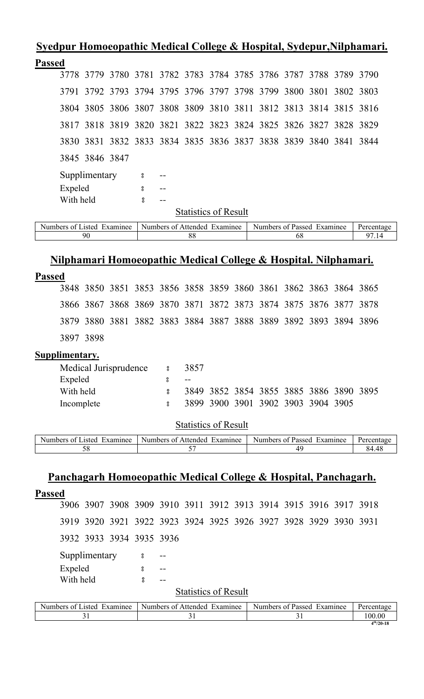|  | Syedpur Homoeopathic Medical College & Hospital, Sydepur, Nilphamari. |  |  |  |  |  |  |
|--|-----------------------------------------------------------------------|--|--|--|--|--|--|
|  |                                                                       |  |  |  |  |  |  |

| <b>Passed</b>  |           |                |                            |                    |                                              |  |                                                                  |                     |      |      |                     |
|----------------|-----------|----------------|----------------------------|--------------------|----------------------------------------------|--|------------------------------------------------------------------|---------------------|------|------|---------------------|
|                |           | 3778 3779      |                            |                    |                                              |  | 3780 3781 3782 3783 3784 3785 3786 3787 3788 3789 3790           |                     |      |      |                     |
|                |           |                |                            |                    | 3791 3792 3793 3794 3795 3796 3797 3798 3799 |  |                                                                  | 3800 3801 3802 3803 |      |      |                     |
|                |           | 3804 3805      |                            |                    |                                              |  | 3806 3807 3808 3809 3810 3811 3812 3813 3814 3815 3816           |                     |      |      |                     |
|                |           | 3817 3818 3819 |                            |                    |                                              |  | 3820 3821 3822 3823 3824 3825 3826 3827 3828 3829                |                     |      |      |                     |
|                |           |                |                            |                    |                                              |  | 3830 3831 3832 3833 3834 3835 3836 3837 3838 3839 3840 3841 3844 |                     |      |      |                     |
|                |           | 3845 3846 3847 |                            |                    |                                              |  |                                                                  |                     |      |      |                     |
|                |           | Supplimentary  |                            | $\boldsymbol{S}$   |                                              |  |                                                                  |                     |      |      |                     |
|                | Expeled   |                |                            | 8                  |                                              |  |                                                                  |                     |      |      |                     |
|                | With held |                |                            | $_{\rm 8}^{\rm o}$ |                                              |  |                                                                  |                     |      |      |                     |
|                |           |                |                            |                    | <b>Statistics of Result</b>                  |  |                                                                  |                     |      |      |                     |
|                |           |                | Numbers of Listed Examinee |                    | Numbers of Attended Examinee                 |  | Numbers of Passed Examinee                                       |                     |      |      |                     |
|                |           |                |                            |                    | 88                                           |  |                                                                  | 68                  |      |      | Percentage<br>97.14 |
|                |           |                |                            |                    |                                              |  |                                                                  |                     |      |      |                     |
|                |           | 90             |                            |                    |                                              |  | Nilphamari Homoeopathic Medical College & Hospital. Nilphamari.  |                     |      |      |                     |
| <b>Passed</b>  |           |                |                            |                    |                                              |  |                                                                  |                     |      |      |                     |
|                |           |                |                            |                    |                                              |  | 3848 3850 3851 3853 3856 3858 3859 3860 3861 3862 3863 3864 3865 |                     |      |      |                     |
|                | 3866      | 3867           | 3868                       | 3869               | 3870 3871 3872 3873                          |  | 3874 3875                                                        |                     | 3876 | 3877 | 3878                |
|                | 3879      | 3880           |                            |                    |                                              |  | 3881 3882 3883 3884 3887 3888 3889 3892 3893 3894 3896           |                     |      |      |                     |
|                |           | 3897 3898      |                            |                    |                                              |  |                                                                  |                     |      |      |                     |
| Supplimentary. |           |                |                            |                    |                                              |  |                                                                  |                     |      |      |                     |

| Medical Jurisprudence 8 | 3857  |                                    |  |  |                                         |  |
|-------------------------|-------|------------------------------------|--|--|-----------------------------------------|--|
| Expeled                 | $- -$ |                                    |  |  |                                         |  |
| With held               |       |                                    |  |  | 3849 3852 3854 3855 3885 3886 3890 3895 |  |
| Incomplete              |       | 3899 3900 3901 3902 3903 3904 3905 |  |  |                                         |  |
|                         |       |                                    |  |  |                                         |  |

Statistics of Result

| xamınee!<br><b>Numbers</b><br>usted.<br>വ <del>പ</del> | Numbers of<br>Examinee<br>. Affended | Examinee<br>Numbers of<br>-Passed | <b>Percentage</b> |
|--------------------------------------------------------|--------------------------------------|-----------------------------------|-------------------|
| ັບ                                                     |                                      |                                   | $40^{\circ}$      |

# **Panchagarh Homoeopathic Medical College & Hospital, Panchagarh.**

| <b>Passed</b>                                                    |                          |    |                              |                            |    |  |            |
|------------------------------------------------------------------|--------------------------|----|------------------------------|----------------------------|----|--|------------|
| 3906 3907 3908 3909 3910 3911 3912 3913 3914 3915 3916 3917 3918 |                          |    |                              |                            |    |  |            |
| 3919 3920 3921 3922 3923 3924 3925 3926 3927 3928 3929 3930 3931 |                          |    |                              |                            |    |  |            |
| 3932 3933 3934 3935 3936                                         |                          |    |                              |                            |    |  |            |
| Supplimentary                                                    | $\overline{\phantom{0}}$ |    |                              |                            |    |  |            |
| Expeled                                                          | 8                        |    |                              |                            |    |  |            |
| With held                                                        | ႙                        |    |                              |                            |    |  |            |
|                                                                  |                          |    | <b>Statistics of Result</b>  |                            |    |  |            |
| Numbers of Listed Examinee                                       |                          |    | Numbers of Attended Examinee | Numbers of Passed Examinee |    |  | Percentage |
| 31                                                               |                          | 31 |                              |                            | 31 |  | 100.00     |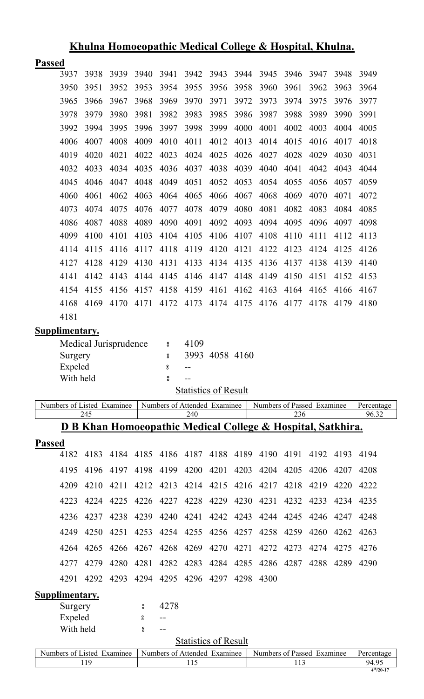|               |                      |              |                            |                    | $\frac{1}{2}$           |                                     |              | $\sim$ 0.10 $\sim$ |                                                             |              |              | -----------  |                     |
|---------------|----------------------|--------------|----------------------------|--------------------|-------------------------|-------------------------------------|--------------|--------------------|-------------------------------------------------------------|--------------|--------------|--------------|---------------------|
| <b>Passed</b> |                      |              |                            |                    |                         |                                     |              |                    |                                                             |              |              |              |                     |
|               | 3937                 | 3938         | 3939                       | 3940               | 3941                    | 3942                                | 3943         | 3944               | 3945                                                        | 3946         | 3947         | 3948         | 3949                |
|               | 3950                 | 3951         | 3952                       | 3953               | 3954                    | 3955                                | 3956         | 3958               | 3960                                                        | 3961         | 3962         | 3963         | 3964                |
|               | 3965                 | 3966         | 3967                       | 3968               | 3969                    | 3970                                | 3971         | 3972               | 3973                                                        | 3974         | 3975         | 3976         | 3977                |
|               | 3978                 | 3979         | 3980                       | 3981               | 3982                    | 3983                                | 3985         | 3986               | 3987                                                        | 3988         | 3989         | 3990         | 3991                |
|               | 3992                 | 3994         | 3995                       | 3996               | 3997                    | 3998                                | 3999         | 4000               | 4001                                                        | 4002         | 4003         | 4004         | 4005                |
|               | 4006                 | 4007         | 4008                       | 4009               | 4010                    | 4011                                | 4012         | 4013               | 4014                                                        | 4015         | 4016         | 4017         | 4018                |
|               | 4019                 | 4020         | 4021                       | 4022               | 4023                    | 4024                                | 4025         | 4026               | 4027                                                        | 4028         | 4029         | 4030         | 4031                |
|               | 4032                 | 4033         | 4034                       | 4035               | 4036                    | 4037                                | 4038         | 4039               | 4040                                                        | 4041         | 4042         | 4043         | 4044                |
|               | 4045                 | 4046         | 4047                       | 4048               | 4049                    | 4051                                | 4052         | 4053               | 4054                                                        | 4055         | 4056         | 4057         | 4059                |
|               | 4060                 | 4061         | 4062                       | 4063               | 4064                    | 4065                                | 4066         | 4067               | 4068                                                        | 4069         | 4070         | 4071         | 4072                |
|               | 4073                 | 4074         | 4075                       | 4076               | 4077                    | 4078                                | 4079         | 4080               | 4081                                                        | 4082         | 4083         | 4084         | 4085                |
|               | 4086                 | 4087         | 4088                       | 4089               | 4090                    | 4091                                | 4092         | 4093               | 4094                                                        | 4095         | 4096         | 4097         | 4098                |
|               | 4099                 | 4100         | 4101                       | 4103               | 4104                    | 4105                                | 4106         | 4107               | 4108                                                        | 4110         | 4111         | 4112         | 4113                |
|               | 4114                 | 4115         | 4116                       | 4117               | 4118                    | 4119                                | 4120         | 4121               | 4122                                                        | 4123         | 4124         | 4125         | 4126                |
|               | 4127                 | 4128         | 4129                       | 4130               | 4131                    | 4133                                | 4134         | 4135               | 4136                                                        | 4137         | 4138         | 4139         | 4140                |
|               | 4141                 | 4142         | 4143                       | 4144               | 4145                    | 4146                                | 4147         | 4148               | 4149                                                        | 4150         | 4151         | 4152         | 4153                |
|               | 4154                 | 4155         | 4156                       | 4157               | 4158                    | 4159                                | 4161         | 4162               | 4163                                                        | 4164         | 4165         | 4166         | 4167                |
|               | 4168                 | 4169         | 4170                       | 4171               | 4172                    | 4173                                | 4174         | 4175               | 4176                                                        | 4177         | 4178         | 4179         | 4180                |
|               | 4181                 |              |                            |                    |                         |                                     |              |                    |                                                             |              |              |              |                     |
|               | Supplimentary.       |              |                            |                    |                         |                                     |              |                    |                                                             |              |              |              |                     |
|               |                      |              | Medical Jurisprudence      |                    | $\bf{S}$                | 4109                                |              |                    |                                                             |              |              |              |                     |
|               | Surgery              |              |                            |                    | ိ                       | 3993                                | 4058 4160    |                    |                                                             |              |              |              |                     |
|               | Expeled<br>With held |              |                            |                    | °<br>$_{\rm 8}^{\rm o}$ | --                                  |              |                    |                                                             |              |              |              |                     |
|               |                      |              |                            |                    |                         | <b>Statistics of Result</b>         |              |                    |                                                             |              |              |              |                     |
|               |                      |              | Numbers of Listed Examinee |                    |                         | Numbers of Attended Examinee        |              |                    | Numbers of Passed Examinee                                  |              |              |              | Percentage          |
|               |                      | 245          |                            |                    |                         | 240                                 |              |                    |                                                             | 236          |              |              | 96.32               |
|               |                      |              |                            |                    |                         |                                     |              |                    | D B Khan Homoeopathic Medical College & Hospital, Satkhira. |              |              |              |                     |
| <b>Passed</b> |                      |              |                            |                    |                         |                                     |              |                    |                                                             |              |              |              |                     |
|               | 4182                 | 4183         | 4184                       | 4185               |                         | 4186 4187                           | 4188         | 4189               | 4190                                                        | 4191         | 4192         | 4193         | 4194                |
|               | 4195                 | 4196         | 4197                       | 4198               | 4199                    | 4200                                | 4201         | 4203               | 4204                                                        | 4205         | 4206         | 4207         | 4208                |
|               | 4209                 | 4210         | 4211                       | 4212               | 4213                    | 4214                                | 4215         | 4216               | 4217                                                        | 4218         | 4219         | 4220         | 4222                |
|               | 4223                 | 4224         | 4225                       | 4226               | 4227                    | 4228                                | 4229         | 4230               | 4231                                                        | 4232         | 4233         | 4234         | 4235                |
|               |                      |              |                            |                    |                         |                                     |              |                    | 4244                                                        | 4245         | 4246         | 4247         | 4248                |
|               |                      |              |                            |                    |                         |                                     |              |                    |                                                             |              |              |              |                     |
|               | 4236<br>4249         | 4237         | 4238                       | 4239               | 4240                    | 4241                                | 4242         | 4243               |                                                             |              |              |              |                     |
|               | 4264                 | 4250<br>4265 | 4251<br>4266               | 4253<br>4267       | 4254<br>4268            | 4255<br>4269                        | 4256<br>4270 | 4257<br>4271       | 4258<br>4272                                                | 4259<br>4273 | 4260<br>4274 | 4262<br>4275 | 4263<br>4276        |
|               |                      |              |                            |                    |                         |                                     |              |                    |                                                             |              |              |              |                     |
|               | 4277<br>4291         | 4279<br>4292 | 4280<br>4293               | 4281<br>4294       | 4282<br>4295            | 4283                                | 4284         | 4285<br>4298       | 4286<br>4300                                                | 4287         | 4288         | 4289         | 4290                |
|               |                      |              |                            |                    |                         |                                     | 4296 4297    |                    |                                                             |              |              |              |                     |
|               | Supplimentary.       |              |                            | °                  | 4278                    |                                     |              |                    |                                                             |              |              |              |                     |
|               | Surgery<br>Expeled   |              |                            | 8                  | $- -$                   |                                     |              |                    |                                                             |              |              |              |                     |
|               | With held            |              |                            | $_{\rm o}^{\rm o}$ |                         |                                     |              |                    |                                                             |              |              |              |                     |
|               |                      |              |                            |                    |                         | <b>Statistics of Result</b>         |              |                    |                                                             |              |              |              |                     |
|               |                      | 119          | Numbers of Listed Examinee |                    |                         | Numbers of Attended Examinee<br>115 |              |                    | Numbers of Passed Examinee                                  | 113          |              |              | Percentage<br>94.95 |

# **Khulna Homoeopathic Medical College & Hospital, Khulna.**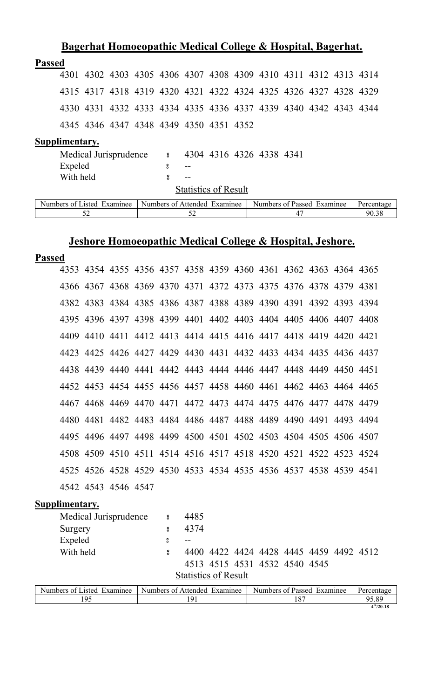|               |                |                            |  |   | Bagerhat Homoeopathic Medical College & Hospital, Bagerhat.      |  |                            |    |  |            |
|---------------|----------------|----------------------------|--|---|------------------------------------------------------------------|--|----------------------------|----|--|------------|
| <b>Passed</b> |                |                            |  |   |                                                                  |  |                            |    |  |            |
|               |                |                            |  |   | 4301 4302 4303 4305 4306 4307 4308 4309 4310 4311 4312 4313 4314 |  |                            |    |  |            |
|               |                |                            |  |   | 4315 4317 4318 4319 4320 4321 4322 4324 4325 4326 4327 4328 4329 |  |                            |    |  |            |
|               |                |                            |  |   | 4330 4331 4332 4333 4334 4335 4336 4337 4339 4340 4342 4343 4344 |  |                            |    |  |            |
|               |                |                            |  |   | 4345 4346 4347 4348 4349 4350 4351 4352                          |  |                            |    |  |            |
|               | Supplimentary. |                            |  |   |                                                                  |  |                            |    |  |            |
|               |                | Medical Jurisprudence      |  |   | $\approx$ 4304 4316 4326 4338 4341                               |  |                            |    |  |            |
|               | Expeled        |                            |  | 8 |                                                                  |  |                            |    |  |            |
|               | With held      |                            |  | 8 | $- -$                                                            |  |                            |    |  |            |
|               |                |                            |  |   | <b>Statistics of Result</b>                                      |  |                            |    |  |            |
|               |                | Numbers of Listed Examinee |  |   | Numbers of Attended Examinee                                     |  | Numbers of Passed Examinee |    |  | Percentage |
|               |                | 52                         |  |   | 52                                                               |  |                            | 47 |  | 90.38      |

# **Jeshore Homoeopathic Medical College & Hospital, Jeshore.**

| <b>Passed</b> |                |                       |                                                                  |          |      |                               |  |                                    |  |
|---------------|----------------|-----------------------|------------------------------------------------------------------|----------|------|-------------------------------|--|------------------------------------|--|
|               |                |                       | 4353 4354 4355 4356 4357 4358 4359 4360 4361 4362 4363 4364 4365 |          |      |                               |  |                                    |  |
|               |                |                       | 4366 4367 4368 4369 4370 4371 4372 4373 4375 4376 4378 4379 4381 |          |      |                               |  |                                    |  |
|               |                |                       | 4382 4383 4384 4385 4386 4387 4388 4389 4390 4391 4392 4393 4394 |          |      |                               |  |                                    |  |
|               |                |                       | 4395 4396 4397 4398 4399 4401 4402 4403 4404 4405 4406 4407 4408 |          |      |                               |  |                                    |  |
|               |                |                       | 4409 4410 4411 4412 4413 4414 4415 4416 4417 4418 4419 4420 4421 |          |      |                               |  |                                    |  |
|               |                |                       | 4423 4425 4426 4427 4429 4430 4431 4432 4433 4434 4435 4436 4437 |          |      |                               |  |                                    |  |
|               |                |                       | 4438 4439 4440 4441 4442 4443 4444 4446 4447 4448 4449 4450 4451 |          |      |                               |  |                                    |  |
|               |                |                       | 4452 4453 4454 4455 4456 4457 4458 4460 4461 4462 4463 4464 4465 |          |      |                               |  |                                    |  |
|               |                |                       | 4467 4468 4469 4470 4471 4472 4473 4474 4475 4476 4477 4478 4479 |          |      |                               |  |                                    |  |
|               |                |                       | 4480 4481 4482 4483 4484 4486 4487 4488 4489 4490 4491 4493 4494 |          |      |                               |  |                                    |  |
|               |                |                       | 4495 4496 4497 4498 4499 4500 4501 4502 4503 4504 4505 4506 4507 |          |      |                               |  |                                    |  |
|               |                |                       | 4508 4509 4510 4511 4514 4516 4517 4518 4520 4521 4522 4523 4524 |          |      |                               |  |                                    |  |
|               |                |                       | 4525 4526 4528 4529 4530 4533 4534 4535 4536 4537 4538 4539 4541 |          |      |                               |  |                                    |  |
|               |                | 4542 4543 4546 4547   |                                                                  |          |      |                               |  |                                    |  |
|               | Supplimentary. |                       |                                                                  |          |      |                               |  |                                    |  |
|               |                | Medical Jurisprudence |                                                                  | $\rm ^o$ | 4485 |                               |  |                                    |  |
|               | Surgery        |                       |                                                                  | 8        | 4374 |                               |  |                                    |  |
|               | Expeled        |                       |                                                                  | 8        |      |                               |  |                                    |  |
|               | With held      |                       |                                                                  | ă        | 4400 |                               |  | 4422 4424 4428 4445 4459 4492 4512 |  |
|               |                |                       |                                                                  |          |      | 4513 4515 4531 4532 4540 4545 |  |                                    |  |

**Statistics of Result** 

| Numbers of Listed<br>Examinee | Numbers of Attended<br>Examinee | Numbers of Passed<br>Examinee | Percentage     |
|-------------------------------|---------------------------------|-------------------------------|----------------|
| .95                           |                                 |                               | 95.89          |
|                               |                                 |                               | $4^{th}/20-18$ |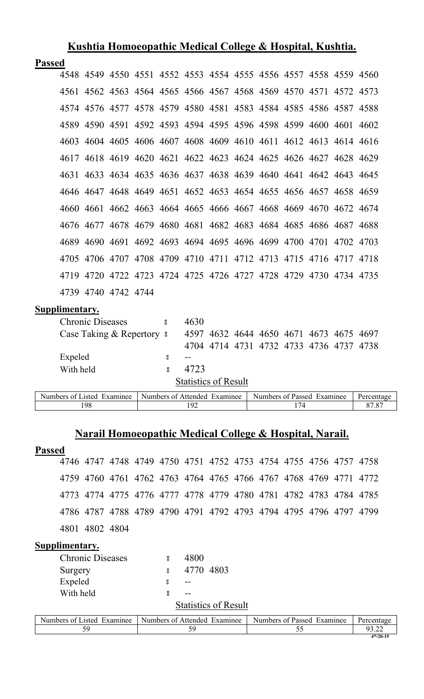#### **Kushtia Homoeopathic Medical College & Hospital, Kushtia.**

#### **Passed**

|  |                     |  |  |  | 4548 4549 4550 4551 4552 4553 4554 4555 4556 4557 4558 4559 4560 |  |  |
|--|---------------------|--|--|--|------------------------------------------------------------------|--|--|
|  |                     |  |  |  | 4561 4562 4563 4564 4565 4566 4567 4568 4569 4570 4571 4572 4573 |  |  |
|  |                     |  |  |  | 4574 4576 4577 4578 4579 4580 4581 4583 4584 4585 4586 4587 4588 |  |  |
|  |                     |  |  |  | 4589 4590 4591 4592 4593 4594 4595 4596 4598 4599 4600 4601 4602 |  |  |
|  |                     |  |  |  | 4603 4604 4605 4606 4607 4608 4609 4610 4611 4612 4613 4614 4616 |  |  |
|  |                     |  |  |  | 4617 4618 4619 4620 4621 4622 4623 4624 4625 4626 4627 4628 4629 |  |  |
|  |                     |  |  |  | 4631 4633 4634 4635 4636 4637 4638 4639 4640 4641 4642 4643 4645 |  |  |
|  |                     |  |  |  | 4646 4647 4648 4649 4651 4652 4653 4654 4655 4656 4657 4658 4659 |  |  |
|  |                     |  |  |  | 4660 4661 4662 4663 4664 4665 4666 4667 4668 4669 4670 4672 4674 |  |  |
|  |                     |  |  |  | 4676 4677 4678 4679 4680 4681 4682 4683 4684 4685 4686 4687 4688 |  |  |
|  |                     |  |  |  | 4689 4690 4691 4692 4693 4694 4695 4696 4699 4700 4701 4702 4703 |  |  |
|  |                     |  |  |  | 4705 4706 4707 4708 4709 4710 4711 4712 4713 4715 4716 4717 4718 |  |  |
|  |                     |  |  |  | 4719 4720 4722 4723 4724 4725 4726 4727 4728 4729 4730 4734 4735 |  |  |
|  | 4739 4740 4742 4744 |  |  |  |                                                                  |  |  |

#### **Supplimentary.**

| <b>Chronic Diseases</b>                                                                                   | 8 | 4630                        |  |  |                            |                                         |              |  |
|-----------------------------------------------------------------------------------------------------------|---|-----------------------------|--|--|----------------------------|-----------------------------------------|--------------|--|
| Case Taking & Repertory 8                                                                                 |   |                             |  |  |                            | 4597 4632 4644 4650 4671 4673 4675 4697 |              |  |
|                                                                                                           |   |                             |  |  |                            | 4704 4714 4731 4732 4733 4736 4737 4738 |              |  |
| Expeled                                                                                                   | 8 |                             |  |  |                            |                                         |              |  |
| With held                                                                                                 |   | 4723                        |  |  |                            |                                         |              |  |
|                                                                                                           |   | <b>Statistics of Result</b> |  |  |                            |                                         |              |  |
| $\Delta$ by $\Delta$ of Light $\Delta$ Expresses $\Delta$ Munkage of $\Delta$ than dad Expresses $\Delta$ |   |                             |  |  | Munkang of Doggad Examings |                                         | $D_{\alpha}$ |  |

| Numbers of<br>Examinee<br>usted. | <b>Numbers</b><br>Examinee<br>Attended<br>Ωt | Numbers<br>Examinee<br>Passed<br>$\Delta$ |                |
|----------------------------------|----------------------------------------------|-------------------------------------------|----------------|
| $\alpha$ c                       |                                              |                                           | $\Omega$<br>∍− |
|                                  |                                              |                                           |                |

## **Narail Homoeopathic Medical College & Hospital, Narail.**

#### **Passed**

 4747 4748 4749 4750 4751 4752 4753 4754 4755 4756 4757 4758 4760 4761 4762 4763 4764 4765 4766 4767 4768 4769 4771 4772 4774 4775 4776 4777 4778 4779 4780 4781 4782 4783 4784 4785 4787 4788 4789 4790 4791 4792 4793 4794 4795 4796 4797 4799 4802 4804

| <b>Chronic Diseases</b> |              | 4800                        |  |
|-------------------------|--------------|-----------------------------|--|
| Surgery                 | $\mathbf{S}$ | 4770 4803                   |  |
| Expeled                 | ႙            |                             |  |
| With held               | ႙            |                             |  |
|                         |              | <b>Statistics of Result</b> |  |

| $\sim$ $\sim$<br>$\blacksquare$<br>Numbers<br>Examinee<br>usted.<br>nt. | $\overline{\phantom{0}}$<br>Attended<br>Numbers of .<br>Examinee | $\overline{\phantom{0}}$<br><sup>•</sup> Passed<br>Numbers of<br>Examinee | Percentage                |
|-------------------------------------------------------------------------|------------------------------------------------------------------|---------------------------------------------------------------------------|---------------------------|
|                                                                         | ر ب                                                              | $\widetilde{\phantom{a}}$                                                 | $\sim$<br>$\Omega$<br>ے … |
|                                                                         |                                                                  |                                                                           | $4^{th}/20-19$            |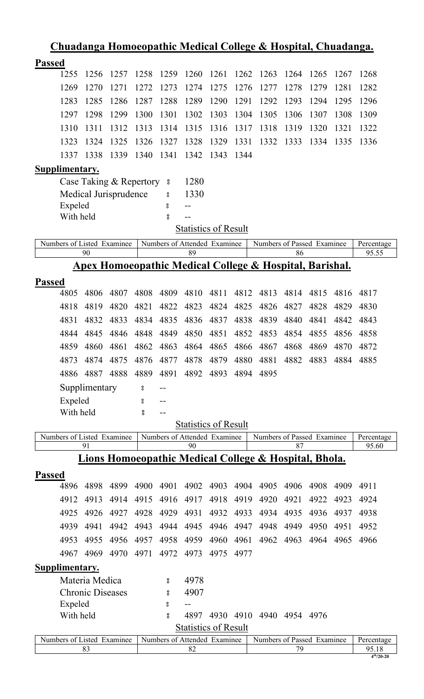|                            | <u>Chuadanga Homoeopathic Medical College &amp; Hospital, Chuadanga.</u> |      |      |          |                                    |      |      |                                                       |           |                     |      |                     |
|----------------------------|--------------------------------------------------------------------------|------|------|----------|------------------------------------|------|------|-------------------------------------------------------|-----------|---------------------|------|---------------------|
| <b>Passed</b>              |                                                                          |      |      |          |                                    |      |      |                                                       |           |                     |      |                     |
| 1255                       | 1256                                                                     | 1257 | 1258 | 1259     | 1260                               | 1261 | 1262 | 1263                                                  | 1264      | 1265                | 1267 | 1268                |
| 1269                       | 1270                                                                     | 1271 | 1272 | 1273     | 1274                               | 1275 | 1276 | 1277                                                  | 1278      | 1279                | 1281 | 1282                |
| 1283                       | 1285                                                                     | 1286 | 1287 | 1288     | 1289                               | 1290 | 1291 | 1292                                                  | 1293      | 1294                | 1295 | 1296                |
| 1297                       | 1298                                                                     | 1299 | 1300 | 1301     | 1302                               | 1303 | 1304 | 1305                                                  | 1306      | 1307                | 1308 | 1309                |
| 1310                       | 1311                                                                     | 1312 | 1313 | 1314     | 1315                               | 1316 | 1317 | 1318                                                  | 1319      | 1320                | 1321 | 1322                |
| 1323                       | 1324                                                                     | 1325 | 1326 | 1327     | 1328                               | 1329 | 1331 | 1332                                                  | 1333      | 1334                | 1335 | 1336                |
| 1337                       | 1338                                                                     | 1339 | 1340 | 1341     | 1342                               | 1343 | 1344 |                                                       |           |                     |      |                     |
| Supplimentary.             |                                                                          |      |      |          |                                    |      |      |                                                       |           |                     |      |                     |
|                            | Case Taking & Repertory                                                  |      |      | $\rm ^o$ | 1280                               |      |      |                                                       |           |                     |      |                     |
|                            | Medical Jurisprudence                                                    |      |      | °        | 1330                               |      |      |                                                       |           |                     |      |                     |
|                            | Expeled                                                                  |      |      | 8        | --                                 |      |      |                                                       |           |                     |      |                     |
|                            | With held                                                                |      |      | 8        |                                    |      |      |                                                       |           |                     |      |                     |
|                            |                                                                          |      |      |          | <b>Statistics of Result</b>        |      |      |                                                       |           |                     |      |                     |
| Numbers of Listed Examinee |                                                                          |      |      |          | Numbers of Attended Examinee       |      |      | Numbers of Passed Examinee                            |           |                     |      | Percentage          |
|                            | 90                                                                       |      |      |          | 89                                 |      |      |                                                       | 86        |                     |      | 95.55               |
|                            | <u> Apex Homoeopathic Medical College &amp; Hospital, Barishal.</u>      |      |      |          |                                    |      |      |                                                       |           |                     |      |                     |
| <b>Passed</b>              |                                                                          |      |      |          |                                    |      |      |                                                       |           |                     |      |                     |
| 4805                       | 4806                                                                     | 4807 | 4808 | 4809     | 4810                               | 4811 | 4812 | 4813                                                  | 4814      | 4815                | 4816 | 4817                |
| 4818                       | 4819                                                                     | 4820 | 4821 | 4822     | 4823                               | 4824 | 4825 | 4826                                                  | 4827      | 4828                | 4829 | 4830                |
| 4831                       | 4832                                                                     | 4833 | 4834 | 4835     | 4836                               | 4837 | 4838 | 4839                                                  | 4840      | 4841                | 4842 | 4843                |
| 4844                       | 4845                                                                     | 4846 | 4848 | 4849     | 4850                               | 4851 | 4852 | 4853                                                  | 4854      | 4855                | 4856 | 4858                |
| 4859                       | 4860                                                                     | 4861 | 4862 | 4863     | 4864                               | 4865 | 4866 | 4867                                                  | 4868      | 4869                | 4870 | 4872                |
| 4873                       | 4874                                                                     | 4875 | 4876 | 4877     | 4878                               | 4879 | 4880 | 4881                                                  |           | 4882 4883 4884 4885 |      |                     |
| 4886                       | 4887                                                                     | 4888 | 4889 | 4891     | 4892                               | 4893 | 4894 | 4895                                                  |           |                     |      |                     |
|                            | Supplimentary                                                            |      | 8    |          |                                    |      |      |                                                       |           |                     |      |                     |
|                            | Expeled                                                                  |      | 8    |          |                                    |      |      |                                                       |           |                     |      |                     |
|                            | With held                                                                |      | 8    | $-1$     |                                    |      |      |                                                       |           |                     |      |                     |
|                            |                                                                          |      |      |          | <b>Statistics of Result</b>        |      |      |                                                       |           |                     |      |                     |
| Numbers of Listed Examinee | 91                                                                       |      |      |          | Numbers of Attended Examinee<br>90 |      |      | Numbers of Passed Examinee                            | 87        |                     |      | Percentage<br>95.60 |
|                            |                                                                          |      |      |          |                                    |      |      | Lions Homoeopathic Medical College & Hospital, Bhola. |           |                     |      |                     |
|                            |                                                                          |      |      |          |                                    |      |      |                                                       |           |                     |      |                     |
| <b>Passed</b><br>4896      | 4898                                                                     | 4899 | 4900 | 4901     | 4902                               | 4903 | 4904 | 4905                                                  | 4906      | 4908                | 4909 | 4911                |
| 4912                       | 4913                                                                     | 4914 | 4915 | 4916     | 4917                               | 4918 | 4919 | 4920                                                  | 4921      | 4922                | 4923 | 4924                |
| 4925                       | 4926                                                                     | 4927 | 4928 | 4929     | 4931                               | 4932 | 4933 | 4934                                                  | 4935      | 4936                | 4937 | 4938                |
| 4939                       | 4941                                                                     | 4942 | 4943 | 4944     | 4945                               | 4946 | 4947 | 4948                                                  | 4949      | 4950                | 4951 | 4952                |
| 4953                       | 4955                                                                     | 4956 | 4957 | 4958     | 4959                               | 4960 | 4961 | 4962                                                  | 4963      | 4964                | 4965 | 4966                |
| 4967                       | 4969                                                                     | 4970 | 4971 | 4972     | 4973                               | 4975 | 4977 |                                                       |           |                     |      |                     |
|                            |                                                                          |      |      |          |                                    |      |      |                                                       |           |                     |      |                     |
| <b>Supplimentary.</b>      | Materia Medica                                                           |      |      |          | 4978                               |      |      |                                                       |           |                     |      |                     |
|                            | <b>Chronic Diseases</b>                                                  |      |      | 8        |                                    |      |      |                                                       |           |                     |      |                     |
|                            | Expeled                                                                  |      |      | °<br>8   | 4907<br>$-$                        |      |      |                                                       |           |                     |      |                     |
|                            | With held                                                                |      |      | 8        | 4897                               |      |      | 4930 4910 4940                                        | 4954 4976 |                     |      |                     |
|                            |                                                                          |      |      |          | <b>Statistics of Result</b>        |      |      |                                                       |           |                     |      |                     |
| Numbers of Listed Examinee |                                                                          |      |      |          | Numbers of Attended Examinee       |      |      | Numbers of Passed Examinee                            |           |                     |      | Percentage          |
|                            | 83                                                                       |      |      |          | 82                                 |      |      |                                                       | 79        |                     |      | 95.18               |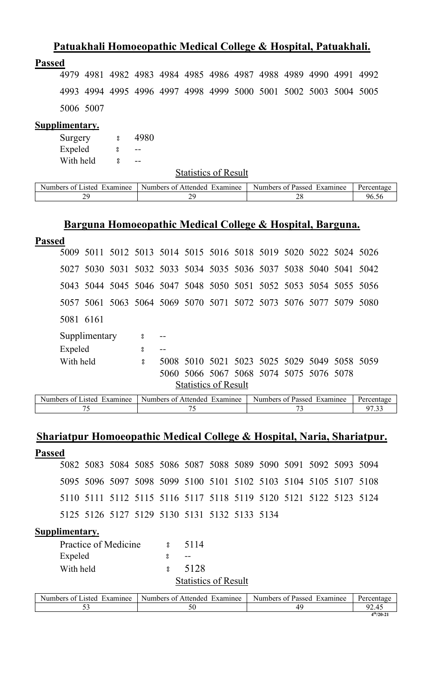### **Patuakhali Homoeopathic Medical College & Hospital, Patuakhali.**

#### **Passed**

4979 4981 4982 4983 4984 4985 4986 4987 4988 4989 4990 4991 4992 4993 4994 4995 4996 4997 4998 4999 5000 5001 5002 5003 5004 5005 5006 5007

#### **Supplimentary.**

| Surgery   | ႙   | 4980 |
|-----------|-----|------|
| Expeled   | ဂ္ဂ |      |
| With held | ႙   |      |

Statistics of Result

| <b>Numbers</b><br>txaminee<br>.1sted<br>. റ* | Examinee<br>Attended<br>Numbers of | Numbers<br>Examinee<br>Passed<br>. nt | Percentage |
|----------------------------------------------|------------------------------------|---------------------------------------|------------|
| J7                                           | ה ר                                | $\ddot{\,}$<br>∠                      | 96.5c      |

#### **Barguna Homoeopathic Medical College & Hospital, Barguna.**

| <b>Passed</b>  |           |                                        |                           |                                                                                          |                             |  |                                                                  |  |                           |
|----------------|-----------|----------------------------------------|---------------------------|------------------------------------------------------------------------------------------|-----------------------------|--|------------------------------------------------------------------|--|---------------------------|
|                |           |                                        |                           |                                                                                          |                             |  | 5009 5011 5012 5013 5014 5015 5016 5018 5019 5020 5022 5024 5026 |  |                           |
|                |           |                                        |                           |                                                                                          |                             |  | 5027 5030 5031 5032 5033 5034 5035 5036 5037 5038 5040 5041 5042 |  |                           |
|                |           |                                        |                           |                                                                                          |                             |  | 5043 5044 5045 5046 5047 5048 5050 5051 5052 5053 5054 5055 5056 |  |                           |
|                |           |                                        |                           |                                                                                          |                             |  | 5057 5061 5063 5064 5069 5070 5071 5072 5073 5076 5077 5079 5080 |  |                           |
|                | 5081 6161 |                                        |                           |                                                                                          |                             |  |                                                                  |  |                           |
|                |           | Supplimentary                          | $\boldsymbol{\mathsf{s}}$ |                                                                                          |                             |  |                                                                  |  |                           |
|                | Expeled   |                                        | 8                         | $- -$                                                                                    |                             |  |                                                                  |  |                           |
|                | With held |                                        | $\mathbf{S}$              |                                                                                          |                             |  | 5008 5010 5021 5023 5025 5029 5049 5058 5059                     |  |                           |
|                |           |                                        |                           |                                                                                          |                             |  | 5060 5066 5067 5068 5074 5075 5076 5078                          |  |                           |
|                |           |                                        |                           |                                                                                          | <b>Statistics of Result</b> |  |                                                                  |  |                           |
| $\mathbf{M}$ 1 |           | $C_{\mathbf{I}}$ , 1 $\mathbf{\Gamma}$ |                           | $\mathbf{M}$ 1 $\mathbf{C}$ $\mathbf{A}$ 1 1 $\mathbf{\Gamma}$ $\mathbf{C}$ $\mathbf{C}$ |                             |  | $\mathbf{M}$ 1 $\mathbf{C}$ 1 $\mathbf{D}$ 1 $\mathbf{D}$        |  | $\mathbf{D}$ $\mathbf{D}$ |

Numbers of Listed Examinee | Numbers of Attended Examinee | Numbers of Passed Examinee | Percentage 75 75 73 97.33

# **Shariatpur Homoeopathic Medical College & Hospital, Naria, Shariatpur.**

| <b>Passed</b> |                                                                  |  |  |  |  |  |  |
|---------------|------------------------------------------------------------------|--|--|--|--|--|--|
|               | 5082 5083 5084 5085 5086 5087 5088 5089 5090 5091 5092 5093 5094 |  |  |  |  |  |  |
|               | 5095 5096 5097 5098 5099 5100 5101 5102 5103 5104 5105 5107 5108 |  |  |  |  |  |  |
|               | 5110 5111 5112 5115 5116 5117 5118 5119 5120 5121 5122 5123 5124 |  |  |  |  |  |  |
|               | 5125 5126 5127 5129 5130 5131 5132 5133 5134                     |  |  |  |  |  |  |
|               |                                                                  |  |  |  |  |  |  |

| Practice of Medicine                                                      | ႙ | 5114                        |  |
|---------------------------------------------------------------------------|---|-----------------------------|--|
| Expeled                                                                   |   |                             |  |
| With held                                                                 |   | 5128                        |  |
|                                                                           |   | <b>Statistics of Result</b> |  |
| $\alpha$ $\mathbf{r}$ $\mathbf{r}$ $\mathbf{r}$ $\mathbf{r}$ $\mathbf{r}$ |   | $0.11 \pm 1.1$              |  |

| Examinee<br>Listed<br>Numbers of | Numbers of Attended<br>Examinee | Numbers of Passed<br>Examinee | Percentage       |
|----------------------------------|---------------------------------|-------------------------------|------------------|
| ັ                                |                                 |                               |                  |
|                                  |                                 |                               | $4^{th}/20 - 21$ |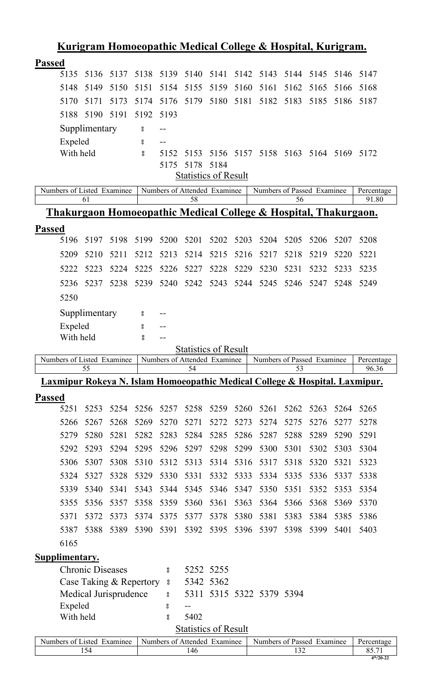|                                                                                        |                                                  |      |      |           |                                                             |           |      | <u>Kurigram Homoeopathic Medical College &amp; Hospital, Kurigram.</u> |           |      |      |                     |
|----------------------------------------------------------------------------------------|--------------------------------------------------|------|------|-----------|-------------------------------------------------------------|-----------|------|------------------------------------------------------------------------|-----------|------|------|---------------------|
| <b>Passed</b>                                                                          |                                                  |      |      |           |                                                             |           |      |                                                                        |           |      |      |                     |
| 5135                                                                                   | 5136                                             | 5137 | 5138 |           | 5139 5140                                                   | 5141      |      | 5142 5143                                                              | 5144 5145 |      | 5146 | 5147                |
| 5148                                                                                   | 5149                                             | 5150 | 5151 | 5154      | 5155                                                        | 5159      | 5160 | 5161                                                                   | 5162      | 5165 | 5166 | 5168                |
| 5170                                                                                   | 5171                                             | 5173 | 5174 | 5176      | 5179                                                        | 5180      | 5181 | 5182                                                                   | 5183      | 5185 | 5186 | 5187                |
| 5188                                                                                   | 5190                                             | 5191 | 5192 | 5193      |                                                             |           |      |                                                                        |           |      |      |                     |
|                                                                                        | Supplimentary                                    |      | °    | $-$ -     |                                                             |           |      |                                                                        |           |      |      |                     |
| Expeled                                                                                |                                                  |      | 8    |           |                                                             |           |      |                                                                        |           |      |      |                     |
| With held                                                                              |                                                  |      | °    | 5152      | 5153                                                        | 5156      |      | 5157 5158 5163 5164 5169                                               |           |      |      | 5172                |
|                                                                                        |                                                  |      |      | 5175      | 5178                                                        | 5184      |      |                                                                        |           |      |      |                     |
|                                                                                        |                                                  |      |      |           | <b>Statistics of Result</b>                                 |           |      |                                                                        |           |      |      |                     |
| Numbers of Listed Examinee                                                             | 61                                               |      |      |           | Numbers of Attended Examinee<br>58                          |           |      | Numbers of Passed Examinee                                             | 56        |      |      | Percentage<br>91.80 |
| <u>Thakurgaon Homoeopathic Medical College &amp; Hospital, Thakurgaon.</u>             |                                                  |      |      |           |                                                             |           |      |                                                                        |           |      |      |                     |
|                                                                                        |                                                  |      |      |           |                                                             |           |      |                                                                        |           |      |      |                     |
| <b>Passed</b><br>5196                                                                  | 5197                                             | 5198 | 5199 | 5200 5201 |                                                             | 5202      | 5203 | 5204                                                                   | 5205      | 5206 | 5207 | 5208                |
|                                                                                        |                                                  |      |      |           |                                                             |           |      |                                                                        |           |      |      |                     |
| 5209                                                                                   | 5210                                             | 5211 | 5212 | 5213      | 5214                                                        | 5215      | 5216 | 5217                                                                   | 5218      | 5219 | 5220 | 5221                |
| 5222                                                                                   | 5223                                             | 5224 | 5225 | 5226      | 5227                                                        | 5228      | 5229 | 5230                                                                   | 5231      | 5232 | 5233 | 5235                |
| 5236                                                                                   | 5237                                             | 5238 | 5239 | 5240      | 5242                                                        | 5243      | 5244 | 5245                                                                   | 5246      | 5247 | 5248 | 5249                |
| 5250                                                                                   |                                                  |      |      |           |                                                             |           |      |                                                                        |           |      |      |                     |
|                                                                                        | Supplimentary                                    |      | 8    |           |                                                             |           |      |                                                                        |           |      |      |                     |
| Expeled                                                                                |                                                  |      | 8    | --        |                                                             |           |      |                                                                        |           |      |      |                     |
| With held                                                                              |                                                  |      | 8    | $-$       |                                                             |           |      |                                                                        |           |      |      |                     |
|                                                                                        |                                                  |      |      |           |                                                             |           |      |                                                                        |           |      |      |                     |
|                                                                                        |                                                  |      |      |           | <b>Statistics of Result</b>                                 |           |      |                                                                        |           |      |      |                     |
| Numbers of Listed Examinee                                                             | 55                                               |      |      |           | Numbers of Attended Examinee<br>54                          |           |      | Numbers of Passed Examinee                                             | 53        |      |      | Percentage<br>96.36 |
| <u>Laxmipur Rokeya N. Islam Homoeopathic Medical College &amp; Hospital. Laxmipur.</u> |                                                  |      |      |           |                                                             |           |      |                                                                        |           |      |      |                     |
|                                                                                        |                                                  |      |      |           |                                                             |           |      |                                                                        |           |      |      |                     |
| <b>Passed</b><br>5251                                                                  | 5253                                             | 5254 | 5256 | 5257      | 5258                                                        | 5259      | 5260 | 5261                                                                   | 5262      | 5263 | 5264 | 5265                |
| 5266                                                                                   | 5267                                             | 5268 | 5269 | 5270      | 5271                                                        | 5272      | 5273 | 5274                                                                   | 5275      | 5276 | 5277 | 5278                |
| 5279                                                                                   | 5280                                             | 5281 | 5282 | 5283      | 5284                                                        | 5285      | 5286 | 5287                                                                   | 5288      | 5289 | 5290 | 5291                |
| 5292                                                                                   | 5293                                             | 5294 | 5295 | 5296      | 5297                                                        | 5298      | 5299 | 5300                                                                   | 5301      | 5302 | 5303 | 5304                |
| 5306                                                                                   | 5307                                             | 5308 | 5310 | 5312      | 5313                                                        | 5314      | 5316 | 5317                                                                   | 5318      | 5320 | 5321 | 5323                |
| 5324                                                                                   | 5327                                             | 5328 | 5329 | 5330      | 5331                                                        | 5332      | 5333 | 5334                                                                   | 5335      | 5336 | 5337 | 5338                |
| 5339                                                                                   | 5340                                             | 5341 | 5343 | 5344      | 5345                                                        | 5346      | 5347 | 5350                                                                   | 5351      | 5352 | 5353 | 5354                |
| 5355                                                                                   | 5356                                             | 5357 | 5358 | 5359      | 5360                                                        | 5361      | 5363 | 5364                                                                   | 5366      | 5368 | 5369 | 5370                |
| 5371                                                                                   | 5372                                             | 5373 | 5374 | 5375      | 5377                                                        | 5378      | 5380 | 5381                                                                   | 5383      | 5384 | 5385 | 5386                |
| 5387                                                                                   | 5388                                             | 5389 | 5390 | 5391      | 5392                                                        | 5395      | 5396 | 5397                                                                   | 5398      | 5399 | 5401 | 5403                |
| 6165                                                                                   |                                                  |      |      |           |                                                             |           |      |                                                                        |           |      |      |                     |
|                                                                                        |                                                  |      |      |           |                                                             |           |      |                                                                        |           |      |      |                     |
| Supplimentary.                                                                         | <b>Chronic Diseases</b>                          |      |      | °         |                                                             | 5252 5255 |      |                                                                        |           |      |      |                     |
|                                                                                        |                                                  |      |      | 8         |                                                             | 5342 5362 |      |                                                                        |           |      |      |                     |
|                                                                                        | Case Taking & Repertory<br>Medical Jurisprudence |      |      | °         |                                                             |           |      | 5311 5315 5322 5379 5394                                               |           |      |      |                     |
| Expeled                                                                                |                                                  |      |      | °         | --                                                          |           |      |                                                                        |           |      |      |                     |
| With held                                                                              |                                                  |      |      | 8         | 5402                                                        |           |      |                                                                        |           |      |      |                     |
| Numbers of Listed Examinee                                                             |                                                  |      |      |           | <b>Statistics of Result</b><br>Numbers of Attended Examinee |           |      | Numbers of Passed Examinee                                             |           |      |      | Percentage          |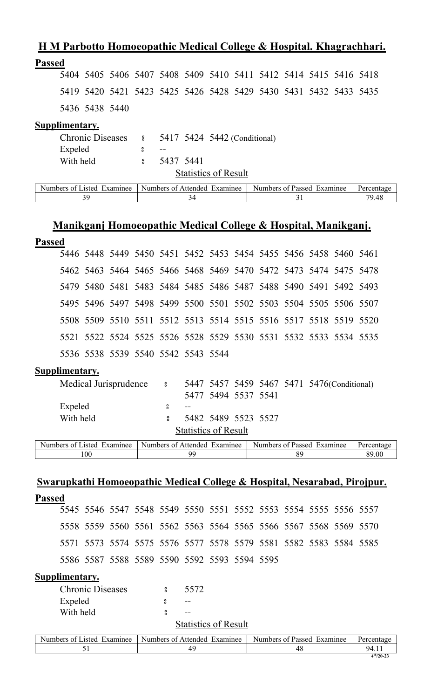### **H M Parbotto Homoeopathic Medical College & Hospital. Khagrachhari.**

#### **Passed**

5404 5405 5406 5407 5408 5409 5410 5411 5412 5414 5415 5416 5418 5419 5420 5421 5423 5425 5426 5428 5429 5430 5431 5432 5433 5435 5436 5438 5440

#### **Supplimentary.**

|           | Chronic Diseases 8 5417 5424 5442 (Conditional) |
|-----------|-------------------------------------------------|
| Expeled   | $- -$                                           |
| With held | 5437 5441                                       |
|           | <b>Statistics of Result</b>                     |

| Numbers<br>Examinee<br>Listed.<br>0Ť | Examinee<br>Numbers of<br>Attended | Examinee<br><b>Numbers</b><br>s of Passed | Percentage    |
|--------------------------------------|------------------------------------|-------------------------------------------|---------------|
|                                      |                                    |                                           | 70 AS<br>フ・コロ |

# **Manikganj Homoeopathic Medical College & Hospital, Manikganj.**

#### **Passed**

| 5446 5448 5449 5450 5451 5452 5453 5454 5455 5456 5458 5460 5461 |
|------------------------------------------------------------------|
| 5462 5463 5464 5465 5466 5468 5469 5470 5472 5473 5474 5475 5478 |
| 5479 5480 5481 5483 5484 5485 5486 5487 5488 5490 5491 5492 5493 |
| 5495 5496 5497 5498 5499 5500 5501 5502 5503 5504 5505 5506 5507 |
| 5508 5509 5510 5511 5512 5513 5514 5515 5516 5517 5518 5519 5520 |
| 5521 5522 5524 5525 5526 5528 5529 5530 5531 5532 5533 5534 5535 |
|                                                                  |
|                                                                  |

#### **Supplimentary.**

| $\mathbf{r}$<br>$\alpha$ $\tau$ $\alpha$ $\alpha$ $\tau$<br>$\mathbf{v}$ |   |                             |                     | $\mathbf{v}$ | $\sim$ $\sim$ | $\sim$                                      | $\sim$ |
|--------------------------------------------------------------------------|---|-----------------------------|---------------------|--------------|---------------|---------------------------------------------|--------|
|                                                                          |   | <b>Statistics of Result</b> |                     |              |               |                                             |        |
| With held                                                                |   |                             | 5482 5489 5523 5527 |              |               |                                             |        |
| Expeled                                                                  |   | $ -$                        |                     |              |               |                                             |        |
|                                                                          |   |                             | 5477 5494 5537 5541 |              |               |                                             |        |
| Medical Jurisprudence                                                    | 8 |                             |                     |              |               | 5447 5457 5459 5467 5471 5476 (Conditional) |        |

| Examinee<br>.1sted<br><b>Numbers</b><br><u>ດ1</u> | Numbers<br>Examinee<br>Attended<br>$\cdot$ $\alpha^*$ | Examinee<br>Numbers <b>Numbers</b><br>Passed<br>ΩŤ | Percent<br><u>היה הי</u><br>чаяс |
|---------------------------------------------------|-------------------------------------------------------|----------------------------------------------------|----------------------------------|
| 100                                               | QC                                                    | $\Omega$                                           | 89.00                            |

### **Swarupkathi Homoeopathic Medical College & Hospital, Nesarabad, Pirojpur.**

**Passed**  5546 5547 5548 5549 5550 5551 5552 5553 5554 5555 5556 5557 5559 5560 5561 5562 5563 5564 5565 5566 5567 5568 5569 5570 5573 5574 5575 5576 5577 5578 5579 5581 5582 5583 5584 5585 5587 5588 5589 5590 5592 5593 5594 5595

| <b>Chronic Diseases</b> | 5572                        |  |
|-------------------------|-----------------------------|--|
| Expeled                 | --                          |  |
| With held               | --                          |  |
|                         | <b>Statistics of Result</b> |  |

| Examinee<br>.1sted<br>Numbers of | $\mathbf{v}$<br>Attended<br>Examinee<br>Numbers of $\lambda$ | $\blacksquare$<br><b>Numbers</b><br>Examinee<br>0Ť.<br>Passed | Percentage       |
|----------------------------------|--------------------------------------------------------------|---------------------------------------------------------------|------------------|
| ັ້                               | 40                                                           | 48                                                            | 94.1.            |
|                                  |                                                              |                                                               | $4^{th}/20 - 23$ |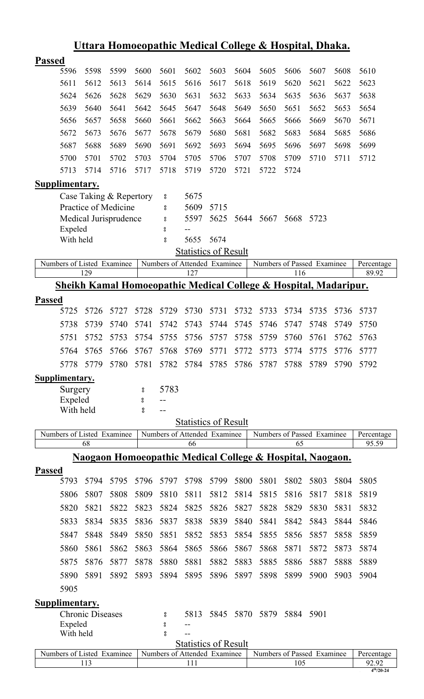|                            |                         |                                    |        |                    |      |                                                             |      | <u>Uttara Homoeopathic Medical College &amp; Hospital, Dhaka.</u> |      |      |      |                     |
|----------------------------|-------------------------|------------------------------------|--------|--------------------|------|-------------------------------------------------------------|------|-------------------------------------------------------------------|------|------|------|---------------------|
| <b>Passed</b>              |                         |                                    |        |                    |      |                                                             |      |                                                                   |      |      |      |                     |
| 5596                       | 5598                    | 5599                               | 5600   | 5601               | 5602 | 5603                                                        | 5604 | 5605                                                              | 5606 | 5607 | 5608 | 5610                |
| 5611                       | 5612                    | 5613                               | 5614   | 5615               | 5616 | 5617                                                        | 5618 | 5619                                                              | 5620 | 5621 | 5622 | 5623                |
| 5624                       | 5626                    | 5628                               | 5629   | 5630               | 5631 | 5632                                                        | 5633 | 5634                                                              | 5635 | 5636 | 5637 | 5638                |
| 5639                       | 5640                    | 5641                               | 5642   | 5645               | 5647 | 5648                                                        | 5649 | 5650                                                              | 5651 | 5652 | 5653 | 5654                |
| 5656                       | 5657                    | 5658                               | 5660   | 5661               | 5662 | 5663                                                        | 5664 | 5665                                                              | 5666 | 5669 | 5670 | 5671                |
| 5672                       | 5673                    | 5676                               | 5677   | 5678               | 5679 | 5680                                                        | 5681 | 5682                                                              | 5683 | 5684 | 5685 | 5686                |
| 5687                       | 5688                    | 5689                               | 5690   | 5691               | 5692 | 5693                                                        | 5694 | 5695                                                              | 5696 | 5697 | 5698 | 5699                |
| 5700                       | 5701                    | 5702                               | 5703   | 5704               | 5705 | 5706                                                        | 5707 | 5708                                                              | 5709 | 5710 | 5711 | 5712                |
| 5713                       | 5714                    | 5716                               | 5717   | 5718               | 5719 | 5720                                                        | 5721 | 5722                                                              | 5724 |      |      |                     |
| Supplimentary.             |                         |                                    |        |                    |      |                                                             |      |                                                                   |      |      |      |                     |
|                            |                         | Case Taking & Repertory            |        | °                  | 5675 |                                                             |      |                                                                   |      |      |      |                     |
|                            |                         | Practice of Medicine               |        | 8                  | 5609 | 5715                                                        |      |                                                                   |      |      |      |                     |
|                            |                         | Medical Jurisprudence              |        | °                  | 5597 | 5625                                                        | 5644 | 5667                                                              | 5668 | 5723 |      |                     |
| Expeled                    |                         |                                    |        | 8                  |      |                                                             |      |                                                                   |      |      |      |                     |
| With held                  |                         |                                    |        | o<br>0             | 5655 | 5674                                                        |      |                                                                   |      |      |      |                     |
|                            |                         |                                    |        |                    |      | <b>Statistics of Result</b>                                 |      |                                                                   |      |      |      |                     |
| Numbers of Listed Examinee | 129                     |                                    |        |                    | 127  | Numbers of Attended Examinee                                |      | Numbers of Passed Examinee                                        | 116  |      |      | Percentage<br>89.92 |
|                            |                         |                                    |        |                    |      |                                                             |      | Sheikh Kamal Homoeopathic Medical College & Hospital, Madaripur.  |      |      |      |                     |
| <b>Passed</b>              |                         |                                    |        |                    |      |                                                             |      |                                                                   |      |      |      |                     |
| 5725                       | 5726                    | 5727                               | 5728   | 5729               | 5730 | 5731                                                        | 5732 | 5733                                                              | 5734 | 5735 | 5736 | 5737                |
| 5738                       | 5739                    | 5740                               | 5741   | 5742               | 5743 | 5744                                                        | 5745 | 5746                                                              | 5747 | 5748 | 5749 | 5750                |
| 5751                       | 5752                    | 5753                               | 5754   | 5755               | 5756 | 5757                                                        | 5758 | 5759                                                              | 5760 | 5761 | 5762 | 5763                |
|                            |                         | 5764 5765 5766 5767 5768 5769 5771 |        |                    |      |                                                             |      | 5772 5773 5774 5775 5776                                          |      |      |      |                     |
|                            |                         |                                    |        |                    |      |                                                             |      |                                                                   |      |      |      | 5777                |
| 5778                       | 5779                    | 5780                               | 5781   | 5782               | 5784 | 5785                                                        | 5786 | 5787                                                              | 5788 | 5789 | 5790 | 5792                |
| Supplimentary.             |                         |                                    |        |                    |      |                                                             |      |                                                                   |      |      |      |                     |
| Surgery<br>Expeled         |                         |                                    | 8<br>8 | 5783               |      |                                                             |      |                                                                   |      |      |      |                     |
| With held                  |                         |                                    | 8      |                    |      |                                                             |      |                                                                   |      |      |      |                     |
|                            |                         |                                    |        |                    |      | <b>Statistics of Result</b>                                 |      |                                                                   |      |      |      |                     |
| Numbers of Listed Examinee |                         |                                    |        |                    |      | Numbers of Attended Examinee                                |      | Numbers of Passed Examinee                                        |      |      |      | Percentage          |
|                            | 68                      |                                    |        |                    | 66   |                                                             |      |                                                                   | 65   |      |      | 95.59               |
|                            |                         |                                    |        |                    |      |                                                             |      | Naogaon Homoeopathic Medical College & Hospital, Naogaon.         |      |      |      |                     |
| <b>Passed</b>              |                         |                                    |        |                    |      |                                                             |      |                                                                   |      |      |      |                     |
| 5793                       | 5794                    | 5795                               | 5796   | 5797               | 5798 | 5799                                                        | 5800 | 5801                                                              | 5802 | 5803 | 5804 | 5805                |
| 5806                       | 5807                    | 5808                               | 5809   | 5810               | 5811 | 5812                                                        | 5814 | 5815                                                              | 5816 | 5817 | 5818 | 5819                |
| 5820                       | 5821                    | 5822                               | 5823   | 5824               | 5825 | 5826                                                        | 5827 | 5828                                                              | 5829 | 5830 | 5831 | 5832                |
| 5833                       | 5834                    | 5835                               | 5836   | 5837               | 5838 | 5839                                                        | 5840 | 5841                                                              | 5842 | 5843 | 5844 | 5846                |
| 5847                       | 5848                    | 5849                               | 5850   | 5851               | 5852 | 5853                                                        | 5854 | 5855                                                              | 5856 | 5857 | 5858 | 5859                |
| 5860                       | 5861                    | 5862                               | 5863   | 5864               | 5865 | 5866                                                        | 5867 | 5868                                                              | 5871 | 5872 | 5873 | 5874                |
| 5875                       | 5876                    | 5877                               | 5878   | 5880               | 5881 | 5882                                                        | 5883 | 5885                                                              | 5886 | 5887 | 5888 | 5889                |
| 5890                       | 5891                    | 5892                               | 5893   | 5894               | 5895 | 5896                                                        | 5897 | 5898                                                              | 5899 | 5900 | 5903 | 5904                |
| 5905                       |                         |                                    |        |                    |      |                                                             |      |                                                                   |      |      |      |                     |
| <b>Supplimentary.</b>      |                         |                                    |        |                    |      |                                                             |      |                                                                   |      |      |      |                     |
|                            | <b>Chronic Diseases</b> |                                    |        | 8                  | 5813 | 5845                                                        | 5870 | 5879                                                              | 5884 | 5901 |      |                     |
| Expeled                    |                         |                                    |        | $_{\rm o}^{\rm o}$ |      |                                                             |      |                                                                   |      |      |      |                     |
| With held                  |                         |                                    |        | $^{\circ}_{\circ}$ |      |                                                             |      |                                                                   |      |      |      |                     |
| Numbers of Listed Examinee |                         |                                    |        |                    |      | <b>Statistics of Result</b><br>Numbers of Attended Examinee |      | Numbers of Passed Examinee                                        |      |      |      |                     |
|                            | 113                     |                                    |        |                    | 111  |                                                             |      |                                                                   | 105  |      |      | Percentage<br>92.92 |

 $4^{th}/20-24$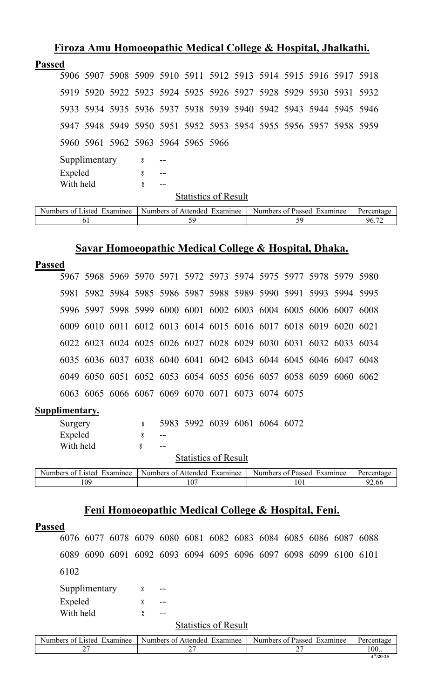| <b>Passed</b><br>5960 5961 5962 5963 5964 5965 5966<br>Supplimentary<br>$\overline{8}$<br>Expeled<br>8<br>With held<br>႙ | FIFOZA AMU HOMOCOPAUNE MEGICAI CONC2C & HOSPIUAI, JNAIKAUN.      |
|--------------------------------------------------------------------------------------------------------------------------|------------------------------------------------------------------|
|                                                                                                                          |                                                                  |
|                                                                                                                          | 5906 5907 5908 5909 5910 5911 5912 5913 5914 5915 5916 5917 5918 |
|                                                                                                                          | 5919 5920 5922 5923 5924 5925 5926 5927 5928 5929 5930 5931 5932 |
|                                                                                                                          | 5933 5934 5935 5936 5937 5938 5939 5940 5942 5943 5944 5945 5946 |
|                                                                                                                          | 5947 5948 5949 5950 5951 5952 5953 5954 5955 5956 5957 5958 5959 |
|                                                                                                                          |                                                                  |
|                                                                                                                          |                                                                  |
|                                                                                                                          |                                                                  |
|                                                                                                                          |                                                                  |
|                                                                                                                          | <b>Statistics of Result</b>                                      |

**Firoza Amu Homoeopathic Medical College & Hospital, Jhalkathi.**

| Examinee<br>usted.<br>Numbers<br>ി | Numbers of<br>Examinee<br>Affended | Examinee<br>Numbers of<br>Passed |              |
|------------------------------------|------------------------------------|----------------------------------|--------------|
|                                    |                                    |                                  | $\sim$<br>۵۷ |

### **Savar Homoeopathic Medical College & Hospital, Dhaka.**

| <b>Passed</b>  |           |                            |                  |                              |                             |  |                                                                  |     |  |            |
|----------------|-----------|----------------------------|------------------|------------------------------|-----------------------------|--|------------------------------------------------------------------|-----|--|------------|
|                | 5967      |                            |                  |                              |                             |  | 5968 5969 5970 5971 5972 5973 5974 5975 5977 5978 5979 5980      |     |  |            |
|                |           |                            |                  |                              |                             |  | 5981 5982 5984 5985 5986 5987 5988 5989 5990 5991 5993 5994 5995 |     |  |            |
|                |           |                            |                  |                              |                             |  | 5996 5997 5998 5999 6000 6001 6002 6003 6004 6005 6006 6007 6008 |     |  |            |
|                |           |                            |                  |                              |                             |  | 6009 6010 6011 6012 6013 6014 6015 6016 6017 6018 6019 6020 6021 |     |  |            |
|                |           |                            |                  |                              |                             |  | 6022 6023 6024 6025 6026 6027 6028 6029 6030 6031 6032 6033 6034 |     |  |            |
|                |           |                            |                  |                              |                             |  | 6035 6036 6037 6038 6040 6041 6042 6043 6044 6045 6046 6047 6048 |     |  |            |
|                |           |                            |                  |                              |                             |  | 6049 6050 6051 6052 6053 6054 6055 6056 6057 6058 6059 6060 6062 |     |  |            |
|                |           |                            |                  |                              |                             |  | 6063 6065 6066 6067 6069 6070 6071 6073 6074 6075                |     |  |            |
| Supplimentary. |           |                            |                  |                              |                             |  |                                                                  |     |  |            |
|                | Surgery   |                            | $\boldsymbol{S}$ |                              |                             |  | 5983 5992 6039 6061 6064 6072                                    |     |  |            |
|                | Expeled   |                            | 8                | --                           |                             |  |                                                                  |     |  |            |
|                | With held |                            | 8                | $- -$                        |                             |  |                                                                  |     |  |            |
|                |           |                            |                  |                              | <b>Statistics of Result</b> |  |                                                                  |     |  |            |
|                |           | Numbers of Listed Examinee |                  | Numbers of Attended Examinee |                             |  | Numbers of Passed Examinee                                       |     |  | Percentage |
|                |           | 109                        |                  |                              | 107                         |  |                                                                  | 101 |  | 92.66      |
|                |           |                            |                  |                              |                             |  |                                                                  |     |  |            |

# **Feni Homoeopathic Medical College & Hospital, Feni.**

#### **Passed**

6076 6077 6078 6079 6080 6081 6082 6083 6084 6085 6086 6087 6088 6089 6090 6091 6092 6093 6094 6095 6096 6097 6098 6099 6100 6101 6102 Supplimentary 8 --

Expeled 8 --With held  $\frac{1}{2}$   $\frac{1}{2}$   $\frac{1}{2}$   $\frac{1}{2}$ 

#### **Statistics of Result**

| Numbers of 1<br>Examinee<br>asted - | Numbers of Attended<br>Examinee | Numbers of Passed<br>Examinee | Percentage  |
|-------------------------------------|---------------------------------|-------------------------------|-------------|
| ∼<br>-                              | ⌒~<br>∸                         | ∼                             | 100         |
|                                     |                                 |                               | $4th/20-25$ |